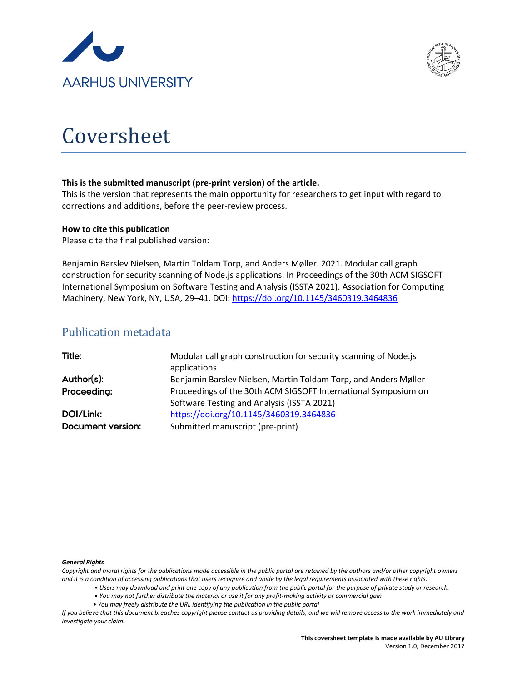



# Coversheet

## **This is the submitted manuscript (pre-print version) of the article.**

This is the version that represents the main opportunity for researchers to get input with regard to corrections and additions, before the peer-review process.

## **How to cite this publication**

Please cite the final published version:

Benjamin Barslev Nielsen, Martin Toldam Torp, and Anders Møller. 2021. Modular call graph construction for security scanning of Node.js applications. In Proceedings of the 30th ACM SIGSOFT International Symposium on Software Testing and Analysis (ISSTA 2021). Association for Computing Machinery, New York, NY, USA, 29–41. DOI: <https://doi.org/10.1145/3460319.3464836>

## Publication metadata

| Title:                   | Modular call graph construction for security scanning of Node.js |
|--------------------------|------------------------------------------------------------------|
|                          | applications                                                     |
| Author(s):               | Benjamin Barslev Nielsen, Martin Toldam Torp, and Anders Møller  |
| Proceeding:              | Proceedings of the 30th ACM SIGSOFT International Symposium on   |
|                          | Software Testing and Analysis (ISSTA 2021)                       |
| DOI/Link:                | https://doi.org/10.1145/3460319.3464836                          |
| <b>Document version:</b> | Submitted manuscript (pre-print)                                 |

#### *General Rights*

*Copyright and moral rights for the publications made accessible in the public portal are retained by the authors and/or other copyright owners and it is a condition of accessing publications that users recognize and abide by the legal requirements associated with these rights.*

- *Users may download and print one copy of any publication from the public portal for the purpose of private study or research.*
- *You may not further distribute the material or use it for any profit-making activity or commercial gain*
- *You may freely distribute the URL identifying the publication in the public portal*

*If you believe that this document breaches copyright please contact us providing details, and we will remove access to the work immediately and investigate your claim.*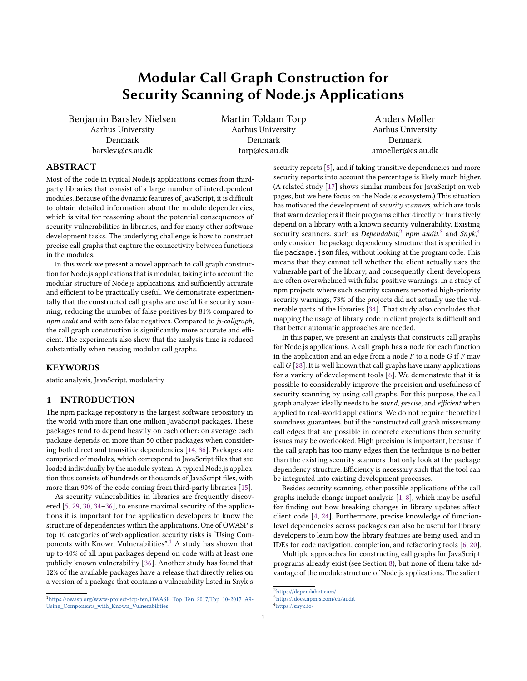<span id="page-1-4"></span>Benjamin Barslev Nielsen Aarhus University Denmark barslev@cs.au.dk

Martin Toldam Torp Aarhus University Denmark torp@cs.au.dk

Anders Møller Aarhus University Denmark amoeller@cs.au.dk

## ABSTRACT

Most of the code in typical Node.js applications comes from thirdparty libraries that consist of a large number of interdependent modules. Because of the dynamic features of JavaScript, it is difficult to obtain detailed information about the module dependencies, which is vital for reasoning about the potential consequences of security vulnerabilities in libraries, and for many other software development tasks. The underlying challenge is how to construct precise call graphs that capture the connectivity between functions in the modules.

In this work we present a novel approach to call graph construction for Node.js applications that is modular, taking into account the modular structure of Node.js applications, and sufficiently accurate and efficient to be practically useful. We demonstrate experimentally that the constructed call graphs are useful for security scanning, reducing the number of false positives by 81% compared to npm audit and with zero false negatives. Compared to js-callgraph, the call graph construction is significantly more accurate and efficient. The experiments also show that the analysis time is reduced substantially when reusing modular call graphs.

## **KEYWORDS**

static analysis, JavaScript, modularity

#### <span id="page-1-5"></span>1 INTRODUCTION

The npm package repository is the largest software repository in the world with more than one million JavaScript packages. These packages tend to depend heavily on each other: on average each package depends on more than 50 other packages when considering both direct and transitive dependencies [\[14,](#page-12-0) [36\]](#page-13-0). Packages are comprised of modules, which correspond to JavaScript files that are loaded individually by the module system. A typical Node.js application thus consists of hundreds or thousands of JavaScript files, with more than 90% of the code coming from third-party libraries [\[15\]](#page-12-1).

As security vulnerabilities in libraries are frequently discovered [\[5,](#page-12-2) [29,](#page-12-3) [30,](#page-12-4) [34](#page-12-5)[–36\]](#page-13-0), to ensure maximal security of the applications it is important for the application developers to know the structure of dependencies within the applications. One of OWASP's top 10 categories of web application security risks is "Using Components with Known Vulnerabilities".[1](#page-1-0) A study has shown that up to 40% of all npm packages depend on code with at least one publicly known vulnerability [\[36\]](#page-13-0). Another study has found that 12% of the available packages have a release that directly relies on a version of a package that contains a vulnerability listed in Snyk's

security reports [\[5\]](#page-12-2), and if taking transitive dependencies and more security reports into account the percentage is likely much higher. (A related study [\[17\]](#page-12-6) shows similar numbers for JavaScript on web pages, but we here focus on the Node.js ecosystem.) This situation has motivated the development of security scanners, which are tools that warn developers if their programs either directly or transitively depend on a library with a known security vulnerability. Existing security scanners, such as *Dependabot*<sup>[2](#page-1-1)</sup> npm audit.<sup>[3](#page-1-2)</sup> and Snyk.<sup>[4](#page-1-3)</sup> only consider the package dependency structure that is specified in the package. json files, without looking at the program code. This means that they cannot tell whether the client actually uses the vulnerable part of the library, and consequently client developers are often overwhelmed with false-positive warnings. In a study of npm projects where such security scanners reported high-priority security warnings, 73% of the projects did not actually use the vulnerable parts of the libraries [\[34\]](#page-12-5). That study also concludes that mapping the usage of library code in client projects is difficult and that better automatic approaches are needed.

In this paper, we present an analysis that constructs call graphs for Node.js applications. A call graph has a node for each function in the application and an edge from a node  $F$  to a node  $G$  if  $F$  may call  $G$  [\[28\]](#page-12-7). It is well known that call graphs have many applications for a variety of development tools [\[6\]](#page-12-8). We demonstrate that it is possible to considerably improve the precision and usefulness of security scanning by using call graphs. For this purpose, the call graph analyzer ideally needs to be sound, precise, and efficient when applied to real-world applications. We do not require theoretical soundness guarantees, but if the constructed call graph misses many call edges that are possible in concrete executions then security issues may be overlooked. High precision is important, because if the call graph has too many edges then the technique is no better than the existing security scanners that only look at the package dependency structure. Efficiency is necessary such that the tool can be integrated into existing development processes.

Besides security scanning, other possible applications of the call graphs include change impact analysis [\[1,](#page-12-9) [8\]](#page-12-10), which may be useful for finding out how breaking changes in library updates affect client code [\[4,](#page-12-11) [24\]](#page-12-12). Furthermore, precise knowledge of functionlevel dependencies across packages can also be useful for library developers to learn how the library features are being used, and in IDEs for code navigation, completion, and refactoring tools [\[6,](#page-12-8) [20\]](#page-12-13).

Multiple approaches for constructing call graphs for JavaScript programs already exist (see Section [8\)](#page-11-0), but none of them take advantage of the module structure of Node.js applications. The salient

<span id="page-1-0"></span><sup>1</sup>[https://owasp.org/www-project-top-ten/OWASP\\_Top\\_Ten\\_2017/Top\\_10-2017\\_A9-](https://owasp.org/www-project-top-ten/OWASP_Top_Ten_2017/Top_10-2017_A9-Using_Components_with_Known_Vulnerabilities) [Using\\_Components\\_with\\_Known\\_Vulnerabilities](https://owasp.org/www-project-top-ten/OWASP_Top_Ten_2017/Top_10-2017_A9-Using_Components_with_Known_Vulnerabilities)

<span id="page-1-1"></span><sup>2</sup><https://dependabot.com/>

<span id="page-1-2"></span><sup>3</sup><https://docs.npmjs.com/cli/audit>

<span id="page-1-3"></span><sup>4</sup><https://snyk.io/>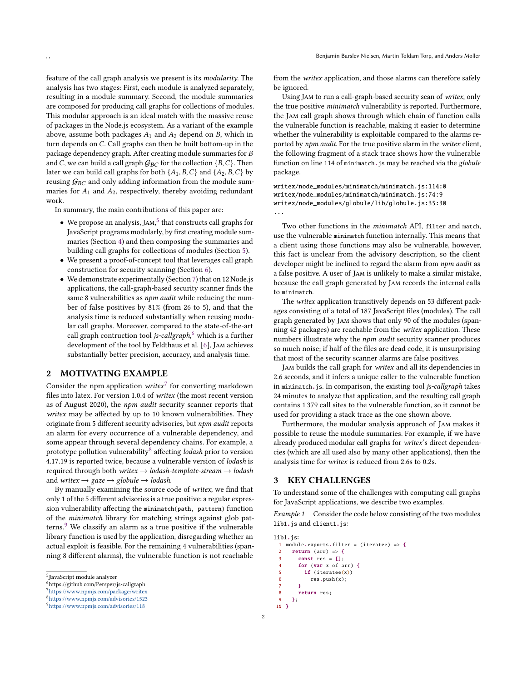feature of the call graph analysis we present is its modularity. The analysis has two stages: First, each module is analyzed separately, resulting in a module summary. Second, the module summaries are composed for producing call graphs for collections of modules. This modular approach is an ideal match with the massive reuse of packages in the Node.js ecosystem. As a variant of the example above, assume both packages  $A_1$  and  $A_2$  depend on  $B$ , which in

turn depends on  $C$ . Call graphs can then be built bottom-up in the package dependency graph. After creating module summaries for B and C, we can build a call graph  $G_{BC}$  for the collection  $\{B, C\}$ . Then later we can build call graphs for both  $\{A_1, B, C\}$  and  $\{A_2, B, C\}$  by reusing  $G_{BC}$  and only adding information from the module summaries for  $A_1$  and  $A_2$ , respectively, thereby avoiding redundant work.

In summary, the main contributions of this paper are:

- We propose an analysis, JAM, $<sup>5</sup>$  $<sup>5</sup>$  $<sup>5</sup>$  that constructs call graphs for</sup> JavaScript programs modularly, by first creating module summaries (Section [4\)](#page-3-0) and then composing the summaries and building call graphs for collections of modules (Section [5\)](#page-4-0).
- We present a proof-of-concept tool that leverages call graph construction for security scanning (Section [6\)](#page-8-0).
- We demonstrate experimentally (Section [7\)](#page-8-1) that on 12 Node.js applications, the call-graph-based security scanner finds the same 8 vulnerabilities as npm audit while reducing the number of false positives by 81% (from 26 to 5), and that the analysis time is reduced substantially when reusing modular call graphs. Moreover, compared to the state-of-the-art call graph contruction tool *is-callgraph*.<sup>[6](#page-2-1)</sup> which is a further development of the tool by Feldthaus et al. [\[6\]](#page-12-8), Jam achieves substantially better precision, accuracy, and analysis time.

## <span id="page-2-10"></span>2 MOTIVATING EXAMPLE

Consider the npm application writex<sup>[7](#page-2-2)</sup> for converting markdown files into latex. For version 1.0.4 of writex (the most recent version as of August 2020), the npm audit security scanner reports that writex may be affected by up to 10 known vulnerabilities. They originate from 5 different security advisories, but npm audit reports an alarm for every occurrence of a vulnerable dependency, and some appear through several dependency chains. For example, a prototype pollution vulnerability affecting *lodash* prior to version 4.17.19 is reported twice, because a vulnerable version of lodash is required through both writex  $\rightarrow$  lodash-template-stream  $\rightarrow$  lodash and writex  $\rightarrow$  gaze  $\rightarrow$  globule  $\rightarrow$  lodash.

By manually examining the source code of writex, we find that only 1 of the 5 different advisories is a true positive: a regular expression vulnerability affecting the minimatch(path, pattern) function of the minimatch library for matching strings against glob pat-terns.<sup>[9](#page-2-4)</sup> We classify an alarm as a true positive if the vulnerable library function is used by the application, disregarding whether an actual exploit is feasible. For the remaining 4 vulnerabilities (spanning 8 different alarms), the vulnerable function is not reachable

from the writex application, and those alarms can therefore safely be ignored.

Using Jam to run a call-graph-based security scan of writex, only the true positive minimatch vulnerability is reported. Furthermore, the Jam call graph shows through which chain of function calls the vulnerable function is reachable, making it easier to determine whether the vulnerability is exploitable compared to the alarms reported by npm audit. For the true positive alarm in the writex client, the following fragment of a stack trace shows how the vulnerable function on line 114 of minimatch. js may be reached via the globule package.

writex/node\_modules/minimatch/minimatch.js:114:0 writex/node\_modules/minimatch/minimatch.js:74:9 writex/node\_modules/globule/lib/globule.js:35:30 ...

Two other functions in the *minimatch* API, filter and match, use the vulnerable minimatch function internally. This means that a client using those functions may also be vulnerable, however, this fact is unclear from the advisory description, so the client developer might be inclined to regard the alarm from npm audit as a false positive. A user of Jam is unlikely to make a similar mistake, because the call graph generated by Jam records the internal calls to minimatch.

The writex application transitively depends on 53 different packages consisting of a total of 187 JavaScript files (modules). The call graph generated by Jam shows that only 90 of the modules (spanning 42 packages) are reachable from the writex application. These numbers illustrate why the npm audit security scanner produces so much noise; if half of the files are dead code, it is unsurprising that most of the security scanner alarms are false positives.

Jam builds the call graph for writex and all its dependencies in 2.6 seconds, and it infers a unique caller to the vulnerable function in minimatch.js. In comparison, the existing tool js-callgraph takes 24 minutes to analyze that application, and the resulting call graph contains 1 379 call sites to the vulnerable function, so it cannot be used for providing a stack trace as the one shown above.

Furthermore, the modular analysis approach of Jam makes it possible to reuse the module summaries. For example, if we have already produced modular call graphs for writex's direct dependencies (which are all used also by many other applications), then the analysis time for writex is reduced from 2.6s to 0.2s.

## 3 KEY CHALLENGES

To understand some of the challenges with computing call graphs for JavaScript applications, we describe two examples.

<span id="page-2-9"></span>Example 1 Consider the code below consisting of the two modules lib1.js and client1.js:

```
lib1.js:
 1 module.exports.filter = (iteratee) => {
      return (arr) \Rightarrow {
        const res = [];
        for (var x of arr) {
          if (iteratee(x))
            res.push(x);
  7 }
 8 return res;
 9 };
 10 }
```
<span id="page-2-0"></span><sup>&</sup>lt;sup>5</sup> IavaScript module analyzer

<span id="page-2-3"></span>

<span id="page-2-4"></span>

<span id="page-2-1"></span> $\stackrel{\text{\scriptsize 6}}{5}\text{\scriptsize 6}$ https://github.com/Persper/js-callgraph

<span id="page-2-2"></span><sup>7</sup><https://www.npmjs.com/package/writex>

<sup>8</sup><https://www.npmjs.com/advisories/1523>

<sup>9</sup><https://www.npmjs.com/advisories/118>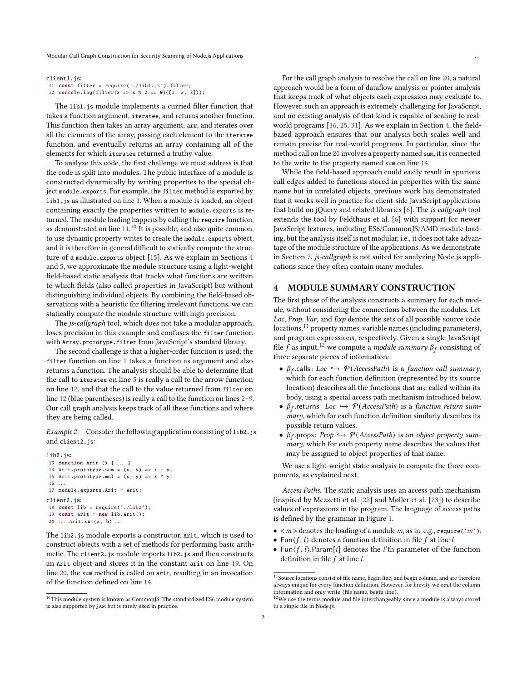```
client1.js:
11 const filter = require('./lib1.js').filter;
12 console.log(filter(x => x % 2 == 0)([1, 2, 3]);
```
The lib1.js module implements a curried filter function that takes a function argument, iteratee, and returns another function. This function then takes an array argument, arr, and iterates over all the elements of the array, passing each element to the iteratee function, and eventually returns an array containing all of the elements for which iteratee returned a truthy value.

To analyze this code, the first challenge we must address is that the code is split into modules. The public interface of a module is constructed dynamically by writing properties to the special object module.exports. For example, the filter method is exported by lib1.js as illustrated on line [1.](#page-2-5) When a module is loaded, an object containing exactly the properties written to module.exports is returned. The module loading happens by calling the require function, as demonstrated on line  $11^{10}$  $11^{10}$  $11^{10}$  It is possible, and also quite common. to use dynamic property writes to create the module.exports object, and it is therefore in general difficult to statically compute the structure of a module.exports object [\[15\]](#page-12-1). As we explain in Sections [4](#page-3-0) and [5,](#page-4-0) we approximate the module structure using a light-weight field-based static analysis that tracks what functions are written to which fields (also called properties in JavaScript) but without distinguishing individual objects. By combining the field-based observations with a heuristic for filtering irrelevant functions, we can statically compute the module structure with high precision.

The js-callgraph tool, which does not take a modular approach, loses precision in this example and confuses the filter function with Array.prototype.filter from JavaScript's standard library.

The second challenge is that a higher-order function is used; the filter function on line [1](#page-2-5) takes a function as argument and also returns a function. The analysis should be able to determine that the call to iteratee on line [5](#page-2-6) is really a call to the arrow function on line [12,](#page-3-3) and that the call to the value returned from filter on line [12](#page-3-3) (blue parentheses) is really a call to the function on lines [2–](#page-2-7)[9.](#page-2-8) Our call graph analysis keeps track of all these functions and where they are being called.

<span id="page-3-9"></span>Example 2 Consider the following application consisting of lib2.js and client2.js:

```
lib2.js:
13 function Arit () { . . . }
14 Arit.prototype.sum = (x, y) => x + y;
15 Arit.prototype.mul = (x, y) => x * y;
 16 ...
17 module.exports.Arit = Arit;
client2.js:
18 const lib = require('./lib2');
19 const arit = new lib.Arit();
20 ... arit.sum(a, b) ...
```
<span id="page-3-5"></span><span id="page-3-4"></span>The lib2.js module exports a constructor, Arit, which is used to construct objects with a set of methods for performing basic arithmetic. The client2.js module imports lib2.js and then constructs an Arit object and stores it in the constant arit on line [19.](#page-3-4) On line [20,](#page-3-5) the sum method is called on arit, resulting in an invocation of the function defined on line [14.](#page-3-6)

For the call graph analysis to resolve the call on line [20,](#page-3-5) a natural approach would be a form of dataflow analysis or pointer analysis that keeps track of what objects each expression may evaluate to. However, such an approach is extremely challenging for JavaScript, and no existing analysis of that kind is capable of scaling to realworld programs [\[16,](#page-12-14) [25,](#page-12-15) [31\]](#page-12-16). As we explain in Section [4,](#page-3-0) the fieldbased approach ensures that our analysis both scales well and remain precise for real-world programs. In particular, since the method call on line [20](#page-3-5) involves a property named sum, it is connected to the write to the property named sum on line [14.](#page-3-6)

While the field-based approach could easily result in spurious call edges added to functions stored in properties with the same name but in unrelated objects, previous work has demonstrated that it works well in practice for client-side JavaScript applications that build on jQuery and related libraries [\[6\]](#page-12-8). The js-callgraph tool extends the tool by Feldthaus et al. [\[6\]](#page-12-8) with support for newer JavaScript features, including ES6/CommonJS/AMD module loading, but the analysis itself is not modular, i.e., it does not take advantage of the module structure of the applications. As we demonstrate in Section [7,](#page-8-1) js-callgraph is not suited for analyzing Node.js applications since they often contain many modules.

## <span id="page-3-0"></span>4 MODULE SUMMARY CONSTRUCTION

The first phase of the analysis constructs a summary for each module, without considering the connections between the modules. Let Loc, Prop, Var, and Exp denote the sets of all possible source code locations,<sup>[11](#page-3-7)</sup> property names, variable names (including parameters), and program expressions, respectively. Given a single JavaScript file f as input,<sup>[12](#page-3-8)</sup> we compute a *module summary*  $\beta_f$  consisting of three separate pieces of information:

- $\beta_f$  calls: Loc  $\hookrightarrow \mathcal{P}(AccessPath)$  is a function call summary, which for each function definition (represented by its source location) describes all the functions that are called within its body, using a special access path mechanism introduced below.
- $\beta_f$  returns: Loc  $\hookrightarrow$  P (AccessPath) is a function return summary, which for each function definition similarly describes its possible return values.
- $\beta_f$ .props: Prop  $\hookrightarrow \mathcal{P}(AccessPath)$  is an object property summary, which for each property name describes the values that may be assigned to object properties of that name.

We use a light-weight static analysis to compute the three components, as explained next.

Access Paths. The static analysis uses an access path mechanism (inspired by Mezzetti et al. [\[22\]](#page-12-17) and Møller et al. [\[23\]](#page-12-18)) to describe values of expressions in the program. The language of access paths is defined by the grammar in Figure [1.](#page-1-4)

- $\leq m$  > denotes the loading of a module *m*, as in, e.g., require('*m*').
- Fun $\langle f, l \rangle$  denotes a function definition in file f at line l.
- Fun $\langle f, l \rangle$ .Param[i] denotes the *i*'th parameter of the function definition in file  $f$  at line  $l$ .

<span id="page-3-2"></span><sup>&</sup>lt;sup>10</sup>This module system is known as CommonJS. The standardized ES6 module system is also supported by Jam but is rarely used in practice.

<span id="page-3-7"></span> $^{11}\rm{Source}$  locations consist of file name, begin line, and begin column, and are therefore always unique for every function definition. However, for brevity we omit the column information and only write ⟨file name, begin line⟩.

<span id="page-3-8"></span> $^{12}\mathrm{We}$  use the terms module and file interchangeably since a module is always stored in a single file in Node.js.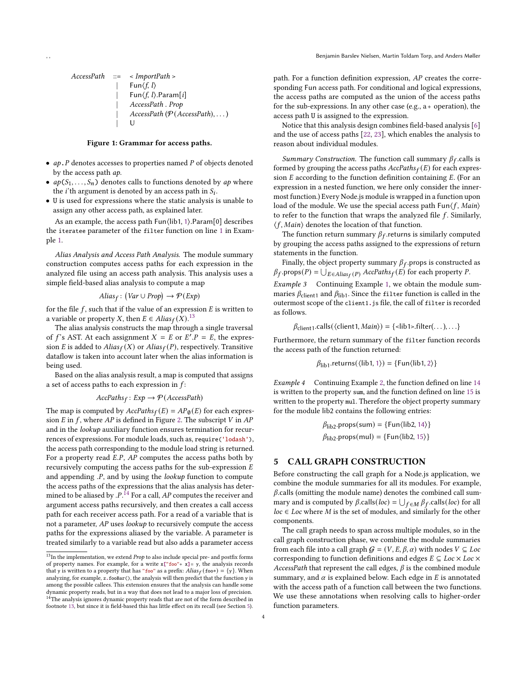<span id="page-4-2"></span>

| AccessPath | ::=                                  | $\langle$ ImportPath > |
|------------|--------------------------------------|------------------------|
|            | Fun $\langle f, l \rangle$ .         |                        |
|            | Fun $\langle f, l \rangle$ .Param[i] |                        |
|            | AccessPath. Prop                     |                        |
|            | AccessPath (P(AccessPath), ...)      |                        |
|            | U                                    |                        |

#### Figure 1: Grammar for access paths.

- $ap.P$  denotes accesses to properties named  $P$  of objects denoted by the access path ap.
- $ap(S_1, \ldots, S_n)$  denotes calls to functions denoted by  $ap$  where the *i*'th argument is denoted by an access path in  $S_i$ .
- U is used for expressions where the static analysis is unable to assign any other access path, as explained later.

As an example, the access path Fun⟨lib1, [1](#page-2-5)⟩.Param[0] describes the iteratee parameter of the filter function on line [1](#page-2-5) in Example [1.](#page-2-9)

Alias Analysis and Access Path Analysis. The module summary construction computes access paths for each expression in the analyzed file using an access path analysis. This analysis uses a simple field-based alias analysis to compute a map

$$
Alias_f: (Var \cup Prop) \rightarrow \mathcal{P}(Exp)
$$

for the file  $f$ , such that if the value of an expression  $E$  is written to a variable or property X, then  $E \in Alias_f(X).^{13}$  $E \in Alias_f(X).^{13}$  $E \in Alias_f(X).^{13}$ 

The alias analysis constructs the map through a single traversal of f's AST. At each assignment  $X = E$  or  $E'.P = E$ , the expression E is added to  $Alias_f(X)$  or  $Alias_f(P)$ , respectively. Transitive dataflow is taken into account later when the alias information is being used.

Based on the alias analysis result, a map is computed that assigns a set of access paths to each expression in  $f$ :

$$
AccPaths_f: Exp \to \mathcal{P}(AccessPath)
$$

The map is computed by  $AccPaths_f(E) = AP_{\emptyset}(E)$  for each expression  $E$  in  $f$ , where  $AP$  is defined in Figure [2.](#page-4-2) The subscript  $V$  in  $AP$ and in the lookup auxiliary function ensures termination for recurrences of expressions. For module loads, such as, require('lodash'), the access path corresponding to the module load string is returned. For a property read  $E.P$ ,  $AP$  computes the access paths both by recursively computing the access paths for the sub-expression  $E$ and appending  $P$ , and by using the *lookup* function to compute the access paths of the expressions that the alias analysis has determined to be aliased by . $P^{\{14\}}$  $P^{\{14\}}$  $P^{\{14\}}$  For a call, AP computes the receiver and argument access paths recursively, and then creates a call access path for each receiver access path. For a read of a variable that is not a parameter, AP uses lookup to recursively compute the access paths for the expressions aliased by the variable. A parameter is treated similarly to a variable read but also adds a parameter access

path. For a function definition expression, AP creates the corresponding Fun access path. For conditional and logical expressions, the access paths are computed as the union of the access paths for the sub-expressions. In any other case (e.g.,  $a +$  operation), the access path U is assigned to the expression.

Notice that this analysis design combines field-based analysis [\[6\]](#page-12-8) and the use of access paths [\[22,](#page-12-17) [23\]](#page-12-18), which enables the analysis to reason about individual modules.

Summary Construction. The function call summary  $\beta_f$  calls is formed by grouping the access paths  $AccPaths_f(E)$  for each expression  $E$  according to the function definition containing  $E$ . (For an expression in a nested function, we here only consider the innermost function.) Every Node.js module is wrapped in a function upon load of the module. We use the special access path  $\text{Fun}\langle f, \text{Main}\rangle$ to refer to the function that wraps the analyzed file  $f$ . Similarly,  $\langle f, \text{Main} \rangle$  denotes the location of that function.

The function return summary  $\beta_f$  returns is similarly computed by grouping the access paths assigned to the expressions of return statements in the function.

<span id="page-4-4"></span>Finally, the object property summary  $\beta_f$  props is constructed as  $\beta_f$ .props $(P) = \bigcup_{E \in Alias_f(P)} AccPaths_f(E)$  for each property P. Example 3 Continuing Example [1,](#page-2-9) we obtain the module summaries  $\beta_{\text{client1}}$  and  $\beta_{\text{lib1}}.$  Since the filter function is called in the outermost scope of the client1.js file, the call of filter is recorded as follows.

 $\beta_{\text{client1}}$ .calls( $\langle$ client1, *Main* $\rangle$ ) =  $\{$ <lib1>.filter(...), ...}

Furthermore, the return summary of the filter function records the access path of the function returned:

$$
\beta_{\mathsf{lib1}}.\mathsf{returns}(\langle\mathsf{lib1},1\rangle) = \{\mathsf{Fun}\langle\mathsf{lib1},2\rangle\}
$$

<span id="page-4-5"></span>Example 4 Continuing Example [2,](#page-3-9) the function defined on line [14](#page-3-6) is written to the property sum, and the function defined on line [15](#page-3-10) is written to the property mul. Therefore the object property summary for the module lib2 contains the following entries:

$$
\beta_{\text{lib2}}.\text{props}(\text{sum}) = {\text{Fun}(\text{lib2}, 14)}\n\beta_{\text{lib2}}.\text{props}(\text{mul}) = {\text{Fun}(\text{lib2}, 15)}
$$

#### <span id="page-4-0"></span>5 CALL GRAPH CONSTRUCTION

Before constructing the call graph for a Node.js application, we combine the module summaries for all its modules. For example,  $\beta$ .calls (omitting the module name) denotes the combined call summary and is computed by  $\beta$  calls(*loc*) =  $\bigcup_{f \in M} \beta_f$  calls(*loc*) for all  $loc \in Loc$  where M is the set of modules, and similarly for the other components.

The call graph needs to span across multiple modules, so in the call graph construction phase, we combine the module summaries from each file into a call graph  $G = (V, E, \beta, \alpha)$  with nodes  $V \subseteq Loc$ corresponding to function definitions and edges  $E \subseteq Loc \times Loc \times$ AccessPath that represent the call edges,  $\beta$  is the combined module summary, and  $\alpha$  is explained below. Each edge in  $E$  is annotated with the access path of a function call between the two functions. We use these annotations when resolving calls to higher-order function parameters.

<span id="page-4-3"></span><span id="page-4-1"></span> $^{13}{\rm In}$  the implementation, we extend  $Prop$  to also include special pre- and postfix forms of property names. For example, for a write  $x["foo" + x]= y$ , the analysis records that y is written to a property that has "foo" as a prefix:  $Alias_f({\tt foo*)} = \{{\tt y}\}.$  When analyzing, for example, z.fooBar(), the analysis will then predict that the function y is among the possible callees. This extension ensures that the analysis can handle some dynamic property reads, but in a way that does not lead to a major loss of precision. <sup>14</sup>The analysis ignores dynamic property reads that are not of the form described in footnote [13,](#page-4-1) but since it is field-based this has little effect on its recall (see Section [5\)](#page-4-0).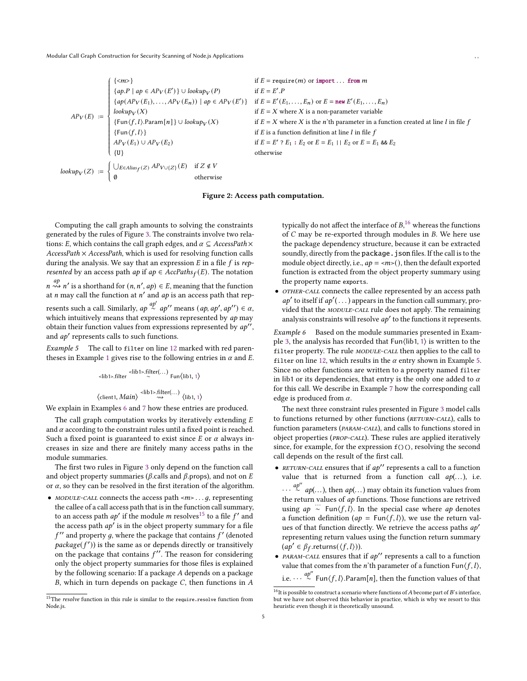$$
AP_V(E) := \begin{cases} {\langle \langle m \rangle} & \text{if } E = \text{require}(m) \text{ or import ... from } m \\ \{ap, P \mid ap \in AP_V(E')\} \cup \text{lookup}_V(P) & \text{if } E = E'.P \\ \{ap(AP_V(E_1), ..., AP_V(E_n)) \mid ap \in AP_V(E')\} & \text{if } E = E'(E_1, ..., E_n) \text{ or } E = \text{new } E'(E_1, ..., E_n) \\ \text{lookup}_V(X) & \text{if } E = X \text{ where } X \text{ is a non-parameter variable} \\ \{\text{Fun}(f, l) \text{:} \text{Param}[n] \} \cup \text{lookup}_V(X) & \text{if } E = X \text{ where } X \text{ is the } n^* \text{th parameter in a function created at line } l \text{ in file } f \\ \{\text{Fun}(f, l)\} & \text{if } E \text{ is a function definition at line } l \text{ in file } f \\ \text{APP}_V(E_1) \cup \text{AP}_V(E_2) & \text{if } E = E' \cdot E_1 : E_2 \text{ or } E = E_1 \mid E_2 \text{ or } E = E_1 \text{ and } E_2 \\ \{U\} & \text{otherwise} \end{cases}
$$
  
lookup
$$
log_{V}(Z) := \begin{cases} \bigcup_{E \in \text{Alias}_f(Z)} AP_{V \cup \{Z\}}(E) & \text{if } Z \notin V \\ \emptyset & \text{otherwise} \end{cases}
$$

#### Figure 2: Access path computation.

Computing the call graph amounts to solving the constraints generated by the rules of Figure [3.](#page-1-4) The constraints involve two relations: E, which contains the call graph edges, and  $\alpha \subseteq AccessPath \times$  $AccessPath \times AccessPath$ , which is used for resolving function calls during the analysis. We say that an expression  $E$  in a file  $f$  is represented by an access path ap if  $ap \in AccPaths_f(E)$ . The notation  $a_p^{\text{ap}}$   $\rightarrow$   $n'$  is a shorthand for  $(n, n', ap) \in E$ , meaning that the function at *n* may call the function at *n'* and *ap* is an access path that represents such a call. Similarly,  $ap \stackrel{ap'}{\sim} ap''$  means  $(ap, ap', ap'') \in \alpha$ , which intuitively means that expressions represented by  $ap$  may obtain their function values from expressions represented by  $a\mathbf{v}$ . and *ap'* represents calls to such functions.

<span id="page-5-3"></span>Example 5 The call to filter on line [12](#page-3-3) marked with red paren-theses in Example [1](#page-2-9) gives rise to the following entries in  $\alpha$  and E.

$$
\langle \text{lib1>}.filter \langle \text{lib1>}.filter(...) \text{ Fun}\langle \text{lib1, 1} \rangle
$$
  

$$
\langle \text{client1, Main} \rangle \langle \text{lib1>}.filter(...) \langle \text{lib1, 1} \rangle
$$

We explain in Examples [6](#page-5-0) and [7](#page-6-0) how these entries are produced.

The call graph computation works by iteratively extending  $E$ and  $\alpha$  according to the constraint rules until a fixed point is reached. Such a fixed point is guaranteed to exist since  $E$  or  $\alpha$  always increases in size and there are finitely many access paths in the module summaries.

The first two rules in Figure [3](#page-1-4) only depend on the function call and object property summaries ( $\beta$  calls and  $\beta$  props), and not on E or  $\alpha$ , so they can be resolved in the first iteration of the algorithm.

• MODULE-CALL connects the access path  $\langle m \rangle$ ..., q, representing the callee of a call access path that is in the function call summary, to an access path  $ab'$  if the module m resolves<sup>[15](#page-5-1)</sup> to a file f' and the access path  $a p'$  is in the object property summary for a file  $f''$  and property a, where the package that contains  $f'$  (denoted  $package(f')$ ) is the same as or depends directly or transitively on the package that contains  $f''$ . The reason for considering only the object property summaries for those files is explained by the following scenario: If a package A depends on a package  $B$ , which in turn depends on package  $C$ , then functions in  $A$ 

typically do not affect the interface of  $B<sup>16</sup>$  $B<sup>16</sup>$  $B<sup>16</sup>$  whereas the functions of  $C$  may be re-exported through modules in  $B$ . We here use the package dependency structure, because it can be extracted soundly, directly from the package. json files. If the call is to the module object directly, i.e.,  $ap = \langle m \rangle$ , then the default exported function is extracted from the object property summary using the property name exports.

• OTHER-CALL connects the callee represented by an access path  $ap'$  to itself if  $ap'$ (...) appears in the function call summary, provided that the MODULE-CALL rule does not apply. The remaining analysis constraints will resolve  $ab'$  to the functions it represents.

<span id="page-5-0"></span>Example 6 Based on the module summaries presented in Example [3,](#page-4-4) the analysis has recorded that Fun⟨lib1, [1](#page-2-5)⟩ is written to the filter property. The rule *MODULE-CALL* then applies to the call to filter on line [12,](#page-3-3) which results in the  $\alpha$  entry shown in Example [5.](#page-5-3) Since no other functions are written to a property named filter in lib1 or its dependencies, that entry is the only one added to  $\alpha$ for this call. We describe in Example [7](#page-6-0) how the corresponding call edge is produced from  $\alpha$ .

The next three constraint rules presented in Figure [3](#page-1-4) model calls to functions returned by other functions (RETURN-CALL), calls to function parameters (PARAM-CALL), and calls to functions stored in object properties (*PROP-CALL*). These rules are applied iteratively since, for example, for the expression  $f()()$ , resolving the second call depends on the result of the first call.

- RETURN-CALL ensures that if  $ap''$  represents a call to a function value that is returned from a function call  $ap(...)$ , i.e.  $\cdots \stackrel{ap''}{\sim} ap(\ldots)$ , then  $ap(\ldots)$  may obtain its function values from the return values of ap functions. Those functions are retrived using  $ap \sim \text{Fun}(f, l)$ . In the special case where ap denotes a function definition ( $ap = Fun\langle f, l \rangle$ ), we use the return values of that function directly. We retrieve the access paths ap′ representing return values using the function return summary  $(ap' \in \beta_f$ .returns $(\langle f, l \rangle)$ ).
- *PARAM-CALL* ensures that if  $ap''$  represents a call to a function value that comes from the *n*'th parameter of a function  $\text{Fun}(f, l)$ , i.e.  $\cdots \stackrel{ap''}{\sim}$  Fun $\langle f, l \rangle$ .Param[n], then the function values of that

<span id="page-5-1"></span> $^{15}\mathrm{The\ }resolve$  function in this rule is similar to the require.resolve function from Node.js.

<span id="page-5-2"></span> $\overline{^{16}$ It is possible to construct a scenario where functions of A become part of B's interface, but we have not observed this behavior in practice, which is why we resort to this heuristic even though it is theoretically unsound.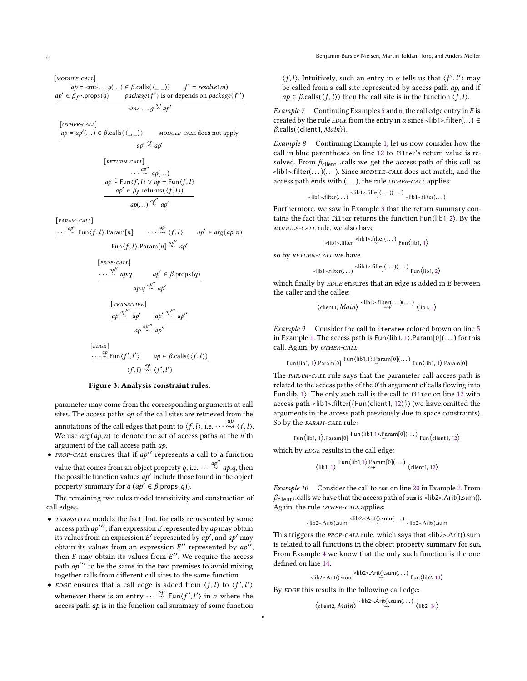[MODULE-CALL]  $ap = \langle m \rangle \dots g(\dots) \in \beta \text{.} \text{ calls}(\langle \square \rangle) \quad f' = \text{resolve}(m)$  $ap' \in \mathring{\beta}_t$ v.props(g) package(f') is or depends on package(f'')  $\langle m\rangle \dots g \stackrel{ap}{\sim} ap'$ 

[OTHER-CALL]

 $ap = ap'(...) \in \beta$ .calls $(\langle \_, \_\rangle)$ MODULE-CALL does not apply  $ap' \stackrel{ap}{\sim} ap'$ 

$$
\begin{array}{ll}\n\text{[RETURN-CALI]} & \cdots & \stackrel{ap''}{\sim} ap(\dots) \\
\text{ap} \stackrel{\sim}{\sim} \text{Fun}\{f, l\} \vee \text{ap} = \text{Fun}\{f, l\} \\
\hline\n& ap' \in \beta_f.\text{returns}(\langle f, l \rangle) \\
& ap(\dots) \stackrel{ap''}{\sim} ap' \\
\text{ap}(\dots) & \stackrel{ap''}{\sim} ap'\n\end{array}
$$

[param-call]

 $\cdots \stackrel{ap''}{\sim} \operatorname{\mathsf{Fun}}\langle f,l\rangle.\mathsf{Param}[n] \qquad \cdots$  $\cdots \stackrel{ap}{\rightsquigarrow} \langle f, l \rangle$  $ap' \in arg(ap, n)$ 

$$
\text{Fun}\langle f,l\rangle.\text{Param}[n] \stackrel{ap''}{\sim} ap'
$$

$$
[PROP-CALL]
$$
  
\n
$$
\cdots \stackrel{ap''}{\sim} ap.q \qquad ap' \in \beta. \text{props}(q)
$$
  
\n
$$
ap.q \stackrel{ap''}{\sim} ap'
$$
  
\n
$$
[TRANSITIVE]
$$
  
\n
$$
ap \stackrel{ap''''}{\sim} ap' \qquad ap' \stackrel{ap'''}{\sim} ap''
$$

∼ ap′′

$$
ap \stackrel{ap''''}{\sim} ap''
$$
  
[*EDGE*]  

$$
\cdots \stackrel{ap}{\sim} \text{Fun}\langle f', l' \rangle \qquad ap \in \beta \text{.} \text{ calls}(\langle f, l \rangle)
$$

## $\langle f, l \rangle \stackrel{ap}{\rightsquigarrow} \langle f', l' \rangle$ Figure 3: Analysis constraint rules.

parameter may come from the corresponding arguments at call sites. The access paths  $ap$  of the call sites are retrieved from the annotations of the call edges that point to  $\langle f, l \rangle$ , i.e.  $\cdots \rightsquigarrow \langle f, l \rangle$ . We use  $arg(ap, n)$  to denote the set of access paths at the *n*'th argument of the call access path ap.

 $PROP-CALL$  ensures that if  $ap''$  represents a call to a function value that comes from an object property q, i.e.  $\cdots \stackrel{ap''}{\sim} ap.q$ , then the possible function values  $ab'$  include those found in the object property summary for  $q(a p' \in \beta$ .props $(q)$ ).

The remaining two rules model transitivity and construction of call edges.

- TRANSITIVE models the fact that, for calls represented by some access path  $ap'''$ , if an expression  $E$  represented by  $ap$  may obtain its values from an expression E' represented by  $ab'$ , and  $ab'$  may obtain its values from an expression  $E''$  represented by  $a\overline{v''}$ . then  $E$  may obtain its values from  $E''$ . We require the access path  $ap'''$  to be the same in the two premises to avoid mixing together calls from different call sites to the same function.
- EDGE ensures that a call edge is added from  $\langle f, l \rangle$  to  $\langle f', l' \rangle$ whenever there is an entry  $\cdots$   $\stackrel{ap}{\sim}$  Fun $\langle f', l' \rangle$  in  $\alpha$  where the access path  $ap$  is in the function call summary of some function

 $\langle f, l \rangle$ . Intuitively, such an entry in  $\alpha$  tells us that  $\langle f', l' \rangle$  may be called from a call site represented by access path ap, and if  $ap \in \beta$  calls( $\langle f, l \rangle$ ) then the call site is in the function  $\langle f, l \rangle$ .

<span id="page-6-0"></span>*Example* 7 Continuing Examples [5](#page-5-3) and [6,](#page-5-0) the call edge entry in  $E$  is created by the rule *EDGE* from the entry in  $\alpha$  since <lib1>.filter(...)  $\in$  $\beta$ .calls( $\langle$ client1, *Main* $\rangle$ ).

Example 8 Continuing Example [1,](#page-2-9) let us now consider how the call in blue parentheses on line [12](#page-3-3) to filter's return value is resolved. From  $\beta_{\text{client1}}$ .calls we get the access path of this call as  $\text{<}$ lib1>.filter(...)(...). Since *MODULE-CALL* does not match, and the access path ends with  $(...)$ , the rule *OTHER-CALL* applies:

$$
\langle \text{lib1} > \text{filter}(\dots) \rangle \langle \text{lib1} > \text{filter}(\dots) (\dots) \langle \text{lib1} > \text{filter}(\dots)
$$

Furthermore, we saw in Example [3](#page-4-4) that the return summary contains the fact that filter returns the function Fun⟨lib1, [2](#page-2-7)⟩. By the module-call rule, we also have

$$
\langle \text{lib1} \rangle \text{.filter} \stackrel{\langle \text{lib1} \rangle \text{.filter}(\dots)}{\sim} \text{Fun} \langle \text{lib1}, 1 \rangle
$$

so by RETURN-CALL we have

$$
\langle \text{lib1} > \text{filter}(\dots) \rangle \langle \text{lib1} > \text{filter}(\dots) (\dots) \text{Fun}(\text{lib1}, 2)
$$

which finally by  $E$ DGE ensures that an edge is added in  $E$  between the caller and the callee:

$$
\left\langle \text{client1,}\, \textit{Main} \right\rangle \overset{\text{}.filter(\dots)(\dots)}{\leadsto} \left\langle \text{lib1},2 \right\rangle
$$

Example 9 Consider the call to iteratee colored brown on line [5](#page-2-6) in Example [1.](#page-2-9) The access path is Fun $\langle$ lib[1](#page-2-5), 1 $\rangle$ .Param $[0]$ (...) for this call. Again, by OTHER-CALL:

$$
\text{Fun}\langle\text{lib1, 1}\rangle.\text{Param[0]} \xrightarrow{\text{Fun}\langle\text{lib1, 1}\rangle.\text{Param[0]}(\dots)} \text{Fun}\langle\text{lib1, 1}\rangle.\text{Param[0]}
$$

The PARAM-CALL rule says that the parameter call access path is related to the access paths of the 0'th argument of calls flowing into Fun⟨lib, [1](#page-2-5)⟩. The only such call is the call to filter on line [12](#page-3-3) with access path <lib1>.filter({Fun $\langle$ client1, [12](#page-3-3)}}) (we have omitted the arguments in the access path previously due to space constraints). So by the PARAM-CALL rule:

$$
Fun(\text{lib1}, 1) \cdot Param[0] \xrightarrow{\text{Fun}(\text{lib1}, 1) \cdot Param[0](\dots)} Fun(\text{client1}, 12)
$$

which by **EDGE** results in the call edge:

$$
\langle Iib1, 1 \rangle \begin{array}{c} \text{Fun} \langle Iib1, 1 \rangle . \text{Param}[0] (\dots) \\ \rightsquigarrow \end{array} \langle \text{client1, 12} \rangle
$$

Example 10 Consider the call to sum on line [20](#page-3-5) in Example [2.](#page-3-9) From  $\beta_{\text{client2}}$  calls we have that the access path of sum is <lib2>.Arit().sum(). Again, the rule *OTHER-CALL* applies:

$$
\langle lib2\rangle \text{.Arit().sum} \langle lib2\rangle \text{.Arit().sum(...)} \langle lib2\rangle \text{.Arit().sum}
$$

This triggers the PROP-CALL rule, which says that <lib2>.Arit().sum is related to all functions in the object property summary for sum. From Example [4](#page-4-5) we know that the only such function is the one defined on line [14.](#page-3-6)

$$
\langle lib2\text{-.Arit}() . \text{sum} \langle lib2\text{-.Arit}() . \text{sum}(\dots) \text{Fun} \langle lib2, 14 \rangle
$$

By EDGE this results in the following call edge:

$$
\langle \text{client2}, \text{Main} \rangle \xrightarrow{<\text{lib2} > \text{Art}() \text{.sum}(\dots) } \langle \text{lib2, 14} \rangle
$$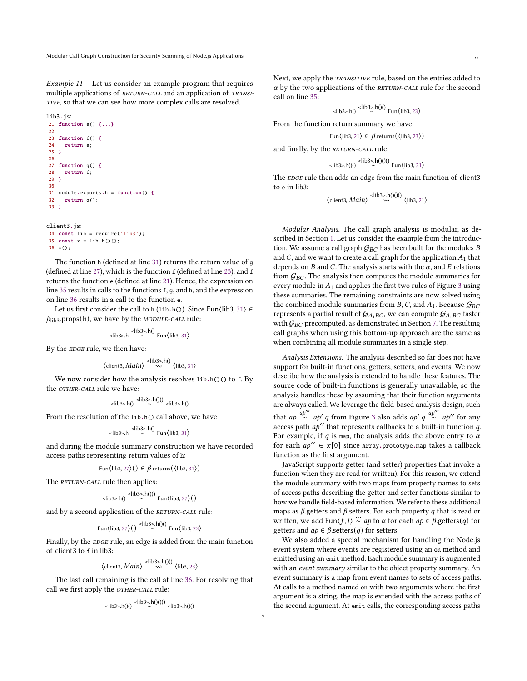Example 11 Let us consider an example program that requires multiple applications of RETURN-CALL and an application of TRANSI-TIVE, so that we can see how more complex calls are resolved.

```
lib3.js:
21 function e() {...}
2223 function f() {
24 return e;
25 }
26
27 function g() {
28 return f;
29 }
30
31 module.exports.h = function() {
32 return g();
33 }
client3.js:
```

```
34 const lib = require('lib3');
35 const x = lib.h()();
36 x();
```
The function h (defined at line [31\)](#page-7-0) returns the return value of g (defined at line [27\)](#page-7-1), which is the function  $f$  (defined at line [23\)](#page-7-2), and  $f$ returns the function e (defined at line [21\)](#page-7-3). Hence, the expression on line [35](#page-7-4) results in calls to the functions f, g, and h, and the expression on line [36](#page-7-5) results in a call to the function e.

Let us first consider the call to h (lib.h()). Since Fun $\langle$ lib3, [31](#page-7-0) $\rangle \in$  $\beta_{\text{lib3}}$ .props(h), we have by the *MODULE-CALL* rule:

$$
\langle lib3\rangle.h \stackrel{\langle lib3\rangle.h}{\sim} \text{Fun}\langle lib3, 31\rangle
$$

By the *EDGE* rule, we then have:

$$
\langle \text{client3}, \text{Main} \rangle \stackrel{\text{}}{\leadsto} \langle \text{lib3, 31} \rangle
$$

We now consider how the analysis resolves lib.h()() to f. By the *OTHER-CALL* rule we have:

$$
\langle lib3\rangle.h()\rangle \stackrel{\langle lib3\rangle.h})()}{\sim} \langle lib3\rangle.h()
$$

From the resolution of the lib.h() call above, we have

$$
\langle lib3\rangle.h \stackrel{\langle lib3\rangle.h}{\sim} \text{Fun}\langle lib3, 31\rangle
$$

and during the module summary construction we have recorded access paths representing return values of h:

$$
Fun(\text{lib3}, 27)( ) \in \beta.\text{returns}(\langle \text{lib3}, 31 \rangle)
$$

The RETURN-CALL rule then applies:

$$
\langle 1|1|1\rangle - \langle 1|1|1\rangle \langle 1|1\rangle \langle 1|1\rangle \langle 1|1\rangle \langle 1|1\rangle \langle 1|1\rangle \langle 1|1\rangle \langle 1|1\rangle \langle 1|1\rangle \langle 1|1\rangle \langle 1|1\rangle \langle 1|1\rangle \langle 1|1\rangle \langle 1|1\rangle \langle 1|1\rangle \langle 1|1\rangle \langle 1|1\rangle \langle 1|1\rangle \langle 1|1\rangle \langle 1|1\rangle \langle 1|1\rangle \langle 1|1\rangle \langle 1|1\rangle \langle 1|1\rangle \langle 1|1\rangle \langle 1|1\rangle \langle 1|1\rangle \langle 1|1\rangle \langle 1|1\rangle \langle 1|1\rangle \langle 1|1\rangle \langle 1|1\rangle \langle 1|1\rangle \langle 1|1\rangle \langle 1|1\rangle \langle 1|1\rangle \langle 1|1\rangle \langle 1|1\rangle \langle 1|1\rangle \langle 1|1\rangle \langle 1|1\rangle \langle 1|1\rangle \langle 1|1\rangle \langle 1|1\rangle \langle 1|1\rangle \langle 1|1\rangle \langle 1|1\rangle \langle 1|1\rangle \langle 1|1\rangle \langle 1|1\rangle \langle 1|1\rangle \langle 1|1\rangle \langle 1|1\rangle \langle 1|1\rangle \langle 1|1\rangle \langle 1|1\rangle \langle 1|1\rangle \langle 1|1\rangle \langle 1|1\rangle \langle 1|1\rangle \langle 1|1\rangle \langle 1|1\rangle \langle 1|1\rangle \langle 1|1\rangle \langle 1|1\rangle \langle 1|1\rangle \langle 1|1\rangle \langle 1|1\rangle \langle 1|1\rangle \langle 1|1\rangle \langle 1|1\rangle \langle 1|1\rangle \langle 1|1\rangle \langle 1|1\rangle \langle 1|1\rangle \langle 1|1\rangle \langle 1|1\rangle \langle 1|1\rangle \langle 1|1\rangle \langle 1|1\rangle \langle 1|1\rangle \langle 1|1\rangle \langle 1|1\rangle \langle 1|1\rangle \langle 1|1\rangle \langle 1|1\rangle \langle 1|1\rangle \langle 1|1\rangle \langle 1|1\rangle \langle 1|1\rangle \langle 1|1\rangle \langle 1|1\rangle \langle 1|1\rangle \langle
$$

 $112.100$ 

and by a second application of the RETURN-CALL rule:

$$
Fun(\text{lib3}, 27)() \stackrel{\text{}}{\sim} h(0) Fun(\text{lib3}, 23)
$$

Finally, by the EDGE rule, an edge is added from the main function of client3 to <sup>f</sup> in lib3:

$$
\langle \text{client3, Main} \rangle \xrightarrow{\langle \text{lib3} \rangle \cdot \text{h}(0)} \langle \text{lib3, 23} \rangle
$$

The last call remaining is the call at line [36.](#page-7-5) For resolving that call we first apply the OTHER-CALL rule:

$$
\langle \text{lib3}\rangle \cdot h()() \xrightarrow{\langle \text{lib3}\rangle} h()()() \xrightarrow{\langle \text{lib3}\rangle} h()()
$$

Next, we apply the TRANSITIVE rule, based on the entries added to  $\alpha$  by the two applications of the RETURN-CALL rule for the second call on line [35:](#page-7-4)

$$
\langle \text{lib3}\rangle \cdot \text{hi} \rangle \langle \text{lib3}\rangle \cdot \text{hi} \rangle \cdot \text{Fun} \langle \text{lib3, 23} \rangle
$$

From the function return summary we have

$$
Fun(\text{lib3}, 21) \in \beta.\text{returns}(\langle \text{lib3}, 23 \rangle)
$$

and finally, by the RETURN-CALL rule:

$$
\langle lib3\rangle h(0) \stackrel{\langle lib3\rangle h(0)}{\sim} Fun\langle lib3, 21\rangle
$$

The **EDGE** rule then adds an edge from the main function of client3 to <sup>e</sup> in lib3:

$$
\langle \text{client3, Main} \rangle \xrightarrow{<\text{lib3}>.h(1)(1)} \langle \text{lib3, 21} \rangle
$$

Modular Analysis. The call graph analysis is modular, as described in Section [1.](#page-1-5) Let us consider the example from the introduction. We assume a call graph  $G_{BC}$  has been built for the modules B and  $C$ , and we want to create a call graph for the application  $A_1$  that depends on  $B$  and  $C$ . The analysis starts with the  $\alpha$ , and  $E$  relations from  $G_{BC}$ . The analysis then computes the module summaries for every module in  $A_1$  and applies the first two rules of Figure [3](#page-1-4) using these summaries. The remaining constraints are now solved using the combined module summaries from B, C, and  $A_1$ . Because  $G_{BC}$ represents a partial result of  $\mathcal{G}_{A_1BC}$ , we can compute  $\mathcal{G}_{A_1BC}$  faster with  $G_{BC}$  precomputed, as demonstrated in Section [7.](#page-8-1) The resulting call graphs when using this bottom-up approach are the same as when combining all module summaries in a single step.

Analysis Extensions. The analysis described so far does not have support for built-in functions, getters, setters, and events. We now describe how the analysis is extended to handle these features. The source code of built-in functions is generally unavailable, so the analysis handles these by assuming that their function arguments are always called. We leverage the field-based analysis design, such that  $ap \stackrel{ap''}{\sim} ap'.q$  from Figure [3](#page-1-4) also adds  $ap'.q \stackrel{ap''}{\sim} ap''$  for any access path  $ap''$  that represents callbacks to a built-in function q. For example, if  $q$  is map, the analysis adds the above entry to  $\alpha$ for each  $ap'' \in x[0]$  since Array.prototype.map takes a callback function as the first argument.

JavaScript supports getter (and setter) properties that invoke a function when they are read (or written). For this reason, we extend the module summary with two maps from property names to sets of access paths describing the getter and setter functions similar to how we handle field-based information. We refer to these additional maps as  $\beta$  getters and  $\beta$  setters. For each property  $q$  that is read or written, we add Fun $\langle f, l \rangle \sim ap$  to  $\alpha$  for each  $ap \in \beta$  getters(q) for getters and  $ap \in \beta$ . setters(q) for setters.

We also added a special mechanism for handling the Node.js event system where events are registered using an on method and emitted using an emit method. Each module summary is augmented with an event summary similar to the object property summary. An event summary is a map from event names to sets of access paths. At calls to a method named on with two arguments where the first argument is a string, the map is extended with the access paths of the second argument. At emit calls, the corresponding access paths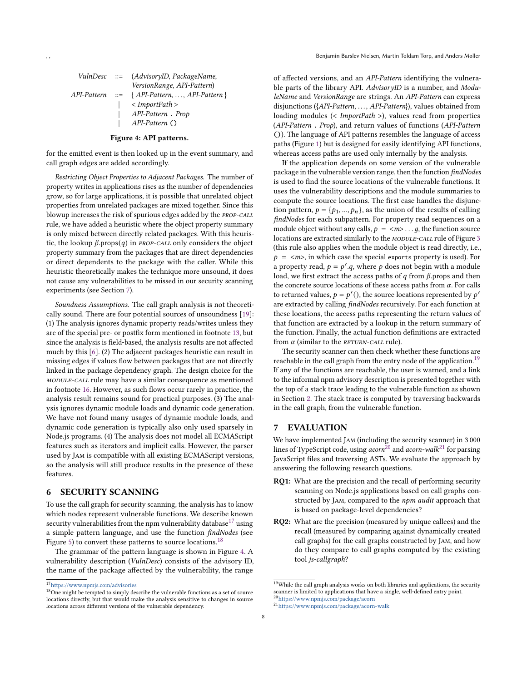<span id="page-8-3"></span>

|              | VulnDesc ::= (AdvisoryID, PackageName,             |
|--------------|----------------------------------------------------|
|              | VersionRange, API-Pattern)                         |
|              | $API-Pattern ::= \{ API-Pattern, , API-Pattern \}$ |
| $\mathbf{1}$ | $\langle$ ImportPath $\rangle$                     |
| $\mathbf{L}$ | API-Pattern Prop                                   |
|              | $ $ API-Pattern $()$                               |

#### Figure 4: API patterns.

for the emitted event is then looked up in the event summary, and call graph edges are added accordingly.

Restricting Object Properties to Adjacent Packages. The number of property writes in applications rises as the number of dependencies grow, so for large applications, it is possible that unrelated object properties from unrelated packages are mixed together. Since this blowup increases the risk of spurious edges added by the PROP-CALL rule, we have added a heuristic where the object property summary is only mixed between directly related packages. With this heuristic, the lookup  $\beta$ .props(q) in *PROP-CALL* only considers the object property summary from the packages that are direct dependencies or direct dependents to the package with the caller. While this heuristic theoretically makes the technique more unsound, it does not cause any vulnerabilities to be missed in our security scanning experiments (see Section [7\)](#page-8-1).

Soundness Assumptions. The call graph analysis is not theoretically sound. There are four potential sources of unsoundness [\[19\]](#page-12-19): (1) The analysis ignores dynamic property reads/writes unless they are of the special pre- or postfix form mentioned in footnote [13,](#page-4-1) but since the analysis is field-based, the analysis results are not affected much by this [\[6\]](#page-12-8). (2) The adjacent packages heuristic can result in missing edges if values flow between packages that are not directly linked in the package dependency graph. The design choice for the module-call rule may have a similar consequence as mentioned in footnote [16.](#page-5-2) However, as such flows occur rarely in practice, the analysis result remains sound for practical purposes. (3) The analysis ignores dynamic module loads and dynamic code generation. We have not found many usages of dynamic module loads, and dynamic code generation is typically also only used sparsely in Node.js programs. (4) The analysis does not model all ECMAScript features such as iterators and implicit calls. However, the parser used by Jam is compatible with all existing ECMAScript versions, so the analysis will still produce results in the presence of these features.

## <span id="page-8-0"></span>6 SECURITY SCANNING

To use the call graph for security scanning, the analysis has to know which nodes represent vulnerable functions. We describe known security vulnerabilities from the npm vulnerability database<sup>[17](#page-8-2)</sup> using a simple pattern language, and use the function findNodes (see Figure [5\)](#page-8-3) to convert these patterns to source locations.<sup>[18](#page-8-4)</sup>

The grammar of the pattern language is shown in Figure [4.](#page-1-4) A vulnerability description (VulnDesc) consists of the advisory ID, the name of the package affected by the vulnerability, the range

of affected versions, and an API-Pattern identifying the vulnerable parts of the library API. AdvisoryID is a number, and ModuleName and VersionRange are strings. An API-Pattern can express disjunctions ({API-Pattern, ..., API-Pattern}), values obtained from loading modules (< ImportPath >), values read from properties (API-Pattern . Prop), and return values of functions (API-Pattern ()). The language of API patterns resembles the language of access paths (Figure [1\)](#page-1-4) but is designed for easily identifying API functions, whereas access paths are used only internally by the analysis.

If the application depends on some version of the vulnerable package in the vulnerable version range, then the function findNodes is used to find the source locations of the vulnerable functions. It uses the vulnerability descriptions and the module summaries to compute the source locations. The first case handles the disjunction pattern,  $p = \{p_1, ..., p_n\}$ , as the union of the results of calling findNodes for each subpattern. For property read sequences on a module object without any calls,  $p = \langle m \rangle \dots q$ , the function source locations are extracted similarly to the *MODULE-CALL* rule of Figure [3](#page-1-4) (this rule also applies when the module object is read directly, i.e.,  $p = \langle m \rangle$ , in which case the special exports property is used). For a property read,  $p = p' \cdot q$ , where p does not begin with a module load, we first extract the access paths of  $q$  from  $\beta$ .props and then the concrete source locations of these access paths from  $\alpha$ . For calls to returned values,  $p = p'($ , the source locations represented by  $p'$ are extracted by calling findNodes recursively. For each function at these locations, the access paths representing the return values of that function are extracted by a lookup in the return summary of the function. Finally, the actual function definitions are extracted from  $\alpha$  (similar to the RETURN-CALL rule).

The security scanner can then check whether these functions are reachable in the call graph from the entry node of the application.<sup>[19](#page-8-5)</sup> If any of the functions are reachable, the user is warned, and a link to the informal npm advisory description is presented together with the top of a stack trace leading to the vulnerable function as shown in Section [2.](#page-2-10) The stack trace is computed by traversing backwards in the call graph, from the vulnerable function.

## <span id="page-8-1"></span>7 EVALUATION

We have implemented Jam (including the security scanner) in 3 000 lines of TypeScript code, using  $acorn<sup>20</sup>$  $acorn<sup>20</sup>$  $acorn<sup>20</sup>$  and  $acorn-walk<sup>21</sup>$  $acorn-walk<sup>21</sup>$  $acorn-walk<sup>21</sup>$  for parsing JavaScript files and traversing ASTs. We evaluate the approach by answering the following research questions.

- RQ1: What are the precision and the recall of performing security scanning on Node.js applications based on call graphs constructed by JAM, compared to the npm audit approach that is based on package-level dependencies?
- RQ2: What are the precision (measured by unique callees) and the recall (measured by comparing against dynamically created call graphs) for the call graphs constructed by Jam, and how do they compare to call graphs computed by the existing tool js-callgraph?

<span id="page-8-2"></span><sup>17</sup><https://www.npmjs.com/advisories>

<span id="page-8-4"></span><sup>&</sup>lt;sup>18</sup>One might be tempted to simply describe the vulnerable functions as a set of source locations directly, but that would make the analysis sensitive to changes in source locations across different versions of the vulnerable dependency.

<span id="page-8-5"></span> $^{19}\rm{While}$  the call graph analysis works on both libraries and applications, the security scanner is limited to applications that have a single, well-defined entry point.<br><sup>20</sup><https://www.npmjs.com/package/acorn>

<span id="page-8-7"></span><span id="page-8-6"></span>

<sup>21</sup><https://www.npmjs.com/package/acorn-walk>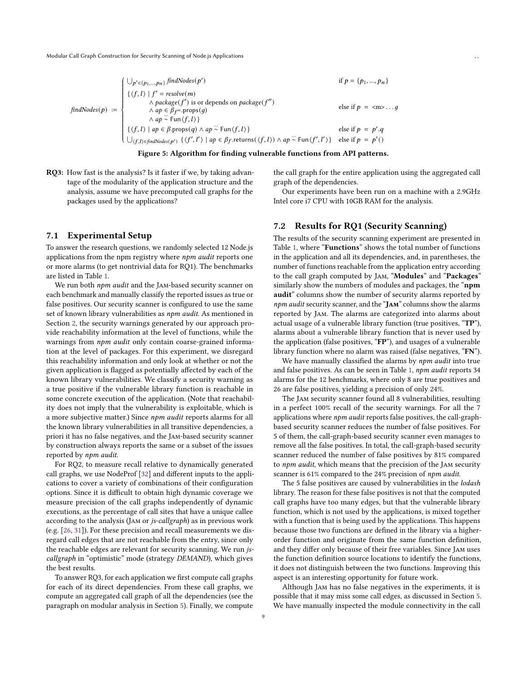$$
findNodes(p) := \begin{cases} \bigcup_{p' \in \{p_1, \dots, p_n\}} findNodes(p') & \text{if } p = \{p_1, \dots, p_n\} \\ \{\langle f, l \rangle \mid f' = resolve(m) \\ & \wedge package(f') \text{ is or depends on package}(f'') \\ & \wedge ap \in \beta_{f''}.props(g) \\ & \wedge ap \stackrel{\sim}{\sim} Fun\langle f, l \rangle\} \\ \{\langle f, l \rangle \mid ap \in \beta_{f'} \text{props}(q) \wedge ap \stackrel{\sim}{\sim} Fun\langle f, l \rangle\} & \text{else if } p = p'.q \\ \bigcup_{(f, l) \in \text{findNodes}(p') } \{\langle f', l' \rangle \mid ap \in \beta_{f}. \text{returns}(\langle f, l \rangle) \wedge ap \stackrel{\sim}{\sim} Fun\langle f', l' \rangle\} & \text{else if } p = p'.q \end{cases}
$$

Figure 5: Algorithm for finding vulnerable functions from API patterns.

RQ3: How fast is the analysis? Is it faster if we, by taking advantage of the modularity of the application structure and the analysis, assume we have precomputed call graphs for the packages used by the applications?

#### 7.1 Experimental Setup

To answer the research questions, we randomly selected 12 Node.js applications from the npm registry where npm audit reports one or more alarms (to get nontrivial data for RQ1). The benchmarks are listed in Table [1.](#page-1-4)

We run both *npm audit* and the JAM-based security scanner on each benchmark and manually classify the reported issues as true or false positives. Our security scanner is configured to use the same set of known library vulnerabilities as npm audit. As mentioned in Section [2,](#page-2-10) the security warnings generated by our approach provide reachability information at the level of functions, while the warnings from *npm audit* only contain coarse-grained information at the level of packages. For this experiment, we disregard this reachability information and only look at whether or not the given application is flagged as potentially affected by each of the known library vulnerabilities. We classify a security warning as a true positive if the vulnerable library function is reachable in some concrete execution of the application. (Note that reachability does not imply that the vulnerability is exploitable, which is a more subjective matter.) Since npm audit reports alarms for all the known library vulnerabilities in all transitive dependencies, a priori it has no false negatives, and the Jam-based security scanner by construction always reports the same or a subset of the issues reported by npm audit.

For RQ2, to measure recall relative to dynamically generated call graphs, we use NodeProf [\[32\]](#page-12-20) and different inputs to the applications to cover a variety of combinations of their configuration options. Since it is difficult to obtain high dynamic coverage we measure precision of the call graphs independently of dynamic executions, as the percentage of call sites that have a unique callee according to the analysis (Jam or js-callgraph) as in previous work (e.g. [\[26,](#page-12-21) [31\]](#page-12-16)). For these precision and recall measurements we disregard call edges that are not reachable from the entry, since only the reachable edges are relevant for security scanning. We run jscallgraph in "optimistic" mode (strategy DEMAND), which gives the best results.

To answer RQ3, for each application we first compute call graphs for each of its direct dependencies. From these call graphs, we compute an aggregated call graph of all the dependencies (see the paragraph on modular analysis in Section [5\)](#page-4-0). Finally, we compute the call graph for the entire application using the aggregated call graph of the dependencies.

Our experiments have been run on a machine with a 2.9GHz Intel core i7 CPU with 10GB RAM for the analysis.

## 7.2 Results for RQ1 (Security Scanning)

The results of the security scanning experiment are presented in Table [1,](#page-1-4) where "Functions" shows the total number of functions in the application and all its dependencies, and, in parentheses, the number of functions reachable from the application entry according to the call graph computed by Jam, "Modules" and "Packages" similarly show the numbers of modules and packages, the "npm" audit" columns show the number of security alarms reported by npm audit security scanner, and the "JAM" columns show the alarms reported by Jam. The alarms are categorized into alarms about actual usage of a vulnerable library function (true positives, "TP"), alarms about a vulnerable library function that is never used by the application (false positives, "FP"), and usages of a vulnerable library function where no alarm was raised (false negatives, "FN").

We have manually classified the alarms by npm audit into true and false positives. As can be seen in Table [1,](#page-1-4) npm audit reports 34 alarms for the 12 benchmarks, where only 8 are true positives and 26 are false positives, yielding a precision of only 24%.

The Jam security scanner found all 8 vulnerabilities, resulting in a perfect 100% recall of the security warnings. For all the 7 applications where npm audit reports false positives, the call-graphbased security scanner reduces the number of false positives. For 5 of them, the call-graph-based security scanner even manages to remove all the false positives. In total, the call-graph-based security scanner reduced the number of false positives by 81% compared to npm audit, which means that the precision of the Jam security scanner is 61% compared to the 24% precision of npm audit.

The 5 false positives are caused by vulnerabilities in the lodash library. The reason for these false positives is not that the computed call graphs have too many edges, but that the vulnerable library function, which is not used by the applications, is mixed together with a function that is being used by the applications. This happens because those two functions are defined in the library via a higherorder function and originate from the same function definition, and they differ only because of their free variables. Since Jam uses the function definition source locations to identify the functions, it does not distinguish between the two functions. Improving this aspect is an interesting opportunity for future work.

Although Jam has no false negatives in the experiments, it is possible that it may miss some call edges, as discussed in Section [5.](#page-4-0) We have manually inspected the module connectivity in the call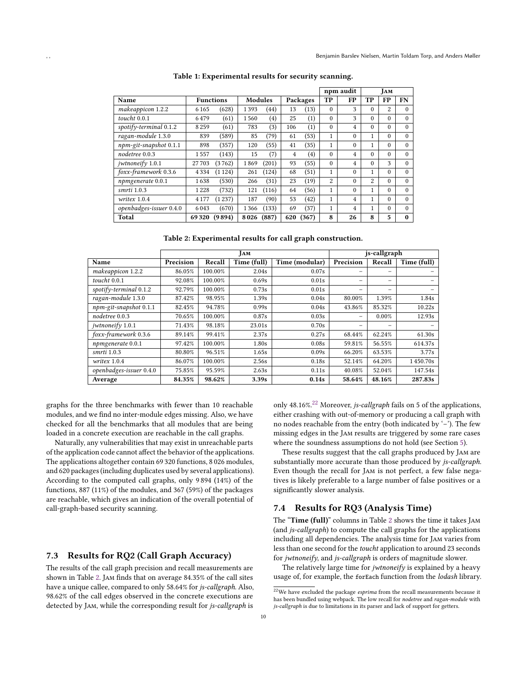<span id="page-10-0"></span>

|                         |         |                  |                |       |     |          | npm audit |          | <b>JAM</b> |          |          |
|-------------------------|---------|------------------|----------------|-------|-----|----------|-----------|----------|------------|----------|----------|
| Name                    |         | <b>Functions</b> | <b>Modules</b> |       |     | Packages | ТP        | FP       | ТP         | FP       | FN       |
| makeappicon 1.2.2       | 6 1 6 5 | (628)            | 1393           | (44)  | 13  | (13)     | $\Omega$  | 3        | $\theta$   | 2        | $\Omega$ |
| toucht $0.0.1$          | 6479    | (61)             | 1560           | (4)   | 25  | (1)      | $\Omega$  | 3        | $\Omega$   | $\Omega$ | $\Omega$ |
| spotify-terminal 0.1.2  | 8 2 5 9 | (61)             | 783            | (3)   | 106 | (1)      | $\theta$  | 4        | $\Omega$   | $\Omega$ | $\Omega$ |
| ragan-module 1.3.0      | 839     | (589)            | 85             | (79)  | 61  | (53)     | 1         | $\theta$ | 1          | $\theta$ | $\Omega$ |
| npm-git-snapshot 0.1.1  | 898     | (357)            | 120            | (55)  | 41  | (35)     | 1         | $\theta$ | 1          | $\Omega$ | $\Omega$ |
| nodetree 0.0.3          | 1557    | (143)            | 15             | (7)   | 4   | (4)      | $\theta$  | 4        | $\Omega$   | $\Omega$ | $\Omega$ |
| jwtnoneify 1.0.1        | 27 703  | (3762)           | 1869           | (201) | 93  | (55)     | $\Omega$  | 4        | $\Omega$   | 3        | $\Omega$ |
| foxx-framework 0.3.6    | 4334    | (1124)           | 261            | (124) | 68  | (51)     | 1         | $\theta$ | 1          | $\Omega$ | $\theta$ |
| npmgenerate 0.0.1       | 1638    | (530)            | 266            | (31)  | 23  | (19)     | 2         | $\theta$ | 2          | $\Omega$ | $\Omega$ |
| smrti 1.0.3             | 1228    | (732)            | 121            | (116) | 64  | (56)     | 1         | $\theta$ | 1          | $\Omega$ | $\Omega$ |
| writex 1.0.4            | 4 1 7 7 | (1237)           | 187            | (90)  | 53  | (42)     | 1         | 4        | 1          | $\Omega$ | $\Omega$ |
| openbadges-issuer 0.4.0 | 6043    | (670)            | 1366           | (133) | 69  | (37)     | 1         | 4        | 1          | $\Omega$ | $\Omega$ |
| <b>Total</b>            | 69320   | (9894)           | 8026           | (887) | 620 | (367)    | 8         | 26       | 8          | 5        | $\bf{0}$ |

Table 1: Experimental results for security scanning.

Table 2: Experimental results for call graph construction.

|                         | <b>JAM</b> |         |             |                | js-callgraph |        |             |  |
|-------------------------|------------|---------|-------------|----------------|--------------|--------|-------------|--|
| Name                    | Precision  | Recall  | Time (full) | Time (modular) | Precision    | Recall | Time (full) |  |
| makeappicon 1.2.2       | 86.05%     | 100.00% | 2.04s       | 0.07s          |              | -      |             |  |
| toucht $0.0.1$          | 92.08%     | 100.00% | 0.69s       | 0.01s          |              | -      |             |  |
| spotify-terminal 0.1.2  | 92.79%     | 100.00% | 0.73s       | 0.01s          |              | -      |             |  |
| ragan-module 1.3.0      | 87.42%     | 98.95%  | 1.39s       | 0.04s          | 80.00%       | 1.39%  | 1.84s       |  |
| npm-git-snapshot 0.1.1  | 82.45%     | 94.78%  | 0.99s       | 0.04s          | 43.86%       | 85.32% | 10.22s      |  |
| nodetree 0.0.3          | 70.65%     | 100.00% | 0.87s       | 0.03s          | -            | 0.00%  | 12.93s      |  |
| jwtnoneify 1.0.1        | 71.43%     | 98.18%  | 23.01s      | 0.70s          |              |        |             |  |
| foxx-framework 0.3.6    | 89.14%     | 99.41%  | 2.37s       | 0.27s          | 68.44%       | 62.24% | 61.30s      |  |
| npmgenerate 0.0.1       | 97.42%     | 100.00% | 1.80s       | 0.08s          | 59.81%       | 56.55% | 614.37s     |  |
| smrti 1.0.3             | 80.80%     | 96.51%  | 1.65s       | 0.09s          | 66.20%       | 63.53% | 3.77s       |  |
| writex 1.0.4            | 86.07%     | 100.00% | 2.56s       | 0.18s          | 52.14%       | 64.20% | 1450.70s    |  |
| openbadges-issuer 0.4.0 | 75.85%     | 95.59%  | 2.63s       | 0.11s          | 40.08%       | 52.04% | 147.54s     |  |
| Average                 | 84.35%     | 98.62%  | 3.39s       | 0.14s          | 58.64%       | 48.16% | 287.83s     |  |

graphs for the three benchmarks with fewer than 10 reachable modules, and we find no inter-module edges missing. Also, we have checked for all the benchmarks that all modules that are being loaded in a concrete execution are reachable in the call graphs.

Naturally, any vulnerabilities that may exist in unreachable parts of the application code cannot affect the behavior of the applications. The applications altogether contain 69 320 functions, 8 026 modules, and 620 packages (including duplicates used by several applications). According to the computed call graphs, only 9 894 (14%) of the functions, 887 (11%) of the modules, and 367 (59%) of the packages are reachable, which gives an indication of the overall potential of call-graph-based security scanning.

## 7.3 Results for RQ2 (Call Graph Accuracy)

The results of the call graph precision and recall measurements are shown in Table [2.](#page-10-0) Jam finds that on average 84.35% of the call sites have a unique callee, compared to only 58.64% for js-callgraph. Also, 98.62% of the call edges observed in the concrete executions are detected by Jam, while the corresponding result for js-callgraph is

only 48.16%.<sup>[22](#page-10-1)</sup> Moreover, *js-callgraph* fails on 5 of the applications, either crashing with out-of-memory or producing a call graph with no nodes reachable from the entry (both indicated by '–'). The few missing edges in the Jam results are triggered by some rare cases where the soundness assumptions do not hold (see Section [5\)](#page-4-0).

These results suggest that the call graphs produced by Jam are substantially more accurate than those produced by js-callgraph. Even though the recall for Jam is not perfect, a few false negatives is likely preferable to a large number of false positives or a significantly slower analysis.

### 7.4 Results for RQ3 (Analysis Time)

The "Time (full)" columns in Table [2](#page-10-0) shows the time it takes Jam (and js-callgraph) to compute the call graphs for the applications including all dependencies. The analysis time for Jam varies from less than one second for the toucht application to around 23 seconds for jwtnoneify, and js-callgraph is orders of magnitude slower.

The relatively large time for *jwtnoneify* is explained by a heavy usage of, for example, the forEach function from the lodash library.

<span id="page-10-1"></span> $^{22}\mathrm{We}$  have excluded the package  $esprima$  from the recall measurements because it has been bundled using webpack. The low recall for nodetree and ragan-module with js-callgraph is due to limitations in its parser and lack of support for getters.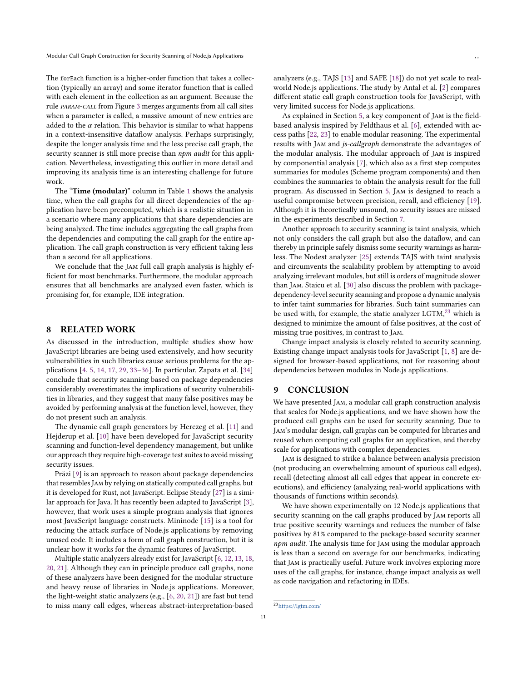The forEach function is a higher-order function that takes a collection (typically an array) and some iterator function that is called with each element in the collection as an argument. Because the rule param-call from Figure [3](#page-1-4) merges arguments from all call sites when a parameter is called, a massive amount of new entries are added to the  $\alpha$  relation. This behavior is similar to what happens in a context-insensitive dataflow analysis. Perhaps surprisingly, despite the longer analysis time and the less precise call graph, the security scanner is still more precise than *npm audit* for this application. Nevertheless, investigating this outlier in more detail and improving its analysis time is an interesting challenge for future work.

The "Time (modular)" column in Table [1](#page-1-4) shows the analysis time, when the call graphs for all direct dependencies of the application have been precomputed, which is a realistic situation in a scenario where many applications that share dependencies are being analyzed. The time includes aggregating the call graphs from the dependencies and computing the call graph for the entire application. The call graph construction is very efficient taking less than a second for all applications.

We conclude that the Jam full call graph analysis is highly efficient for most benchmarks. Furthermore, the modular approach ensures that all benchmarks are analyzed even faster, which is promising for, for example, IDE integration.

#### <span id="page-11-0"></span>8 RELATED WORK

As discussed in the introduction, multiple studies show how JavaScript libraries are being used extensively, and how security vulnerabilities in such libraries cause serious problems for the applications [\[4,](#page-12-11) [5,](#page-12-2) [14,](#page-12-0) [17,](#page-12-6) [29,](#page-12-3) [33](#page-12-22)[–36\]](#page-13-0). In particular, Zapata et al. [\[34\]](#page-12-5) conclude that security scanning based on package dependencies considerably overestimates the implications of security vulnerabilities in libraries, and they suggest that many false positives may be avoided by performing analysis at the function level, however, they do not present such an analysis.

The dynamic call graph generators by Herczeg et al. [\[11\]](#page-12-23) and Hejderup et al. [\[10\]](#page-12-24) have been developed for JavaScript security scanning and function-level dependency management, but unlike our approach they require high-coverage test suites to avoid missing security issues.

Präzi [\[9\]](#page-12-25) is an approach to reason about package dependencies that resemblesJam by relying on statically computed call graphs, but it is developed for Rust, not JavaScript. Eclipse Steady [\[27\]](#page-12-26) is a similar approach for Java. It has recently been adapted to JavaScript [\[3\]](#page-12-27), however, that work uses a simple program analysis that ignores most JavaScript language constructs. Mininode [\[15\]](#page-12-1) is a tool for reducing the attack surface of Node.js applications by removing unused code. It includes a form of call graph construction, but it is unclear how it works for the dynamic features of JavaScript.

Multiple static analyzers already exist for JavaScript [\[6,](#page-12-8) [12,](#page-12-28) [13,](#page-12-29) [18,](#page-12-30) [20,](#page-12-13) [21\]](#page-12-31). Although they can in principle produce call graphs, none of these analyzers have been designed for the modular structure and heavy reuse of libraries in Node.js applications. Moreover, the light-weight static analyzers (e.g., [\[6,](#page-12-8) [20,](#page-12-13) [21\]](#page-12-31)) are fast but tend to miss many call edges, whereas abstract-interpretation-based

analyzers (e.g., TAJS [\[13\]](#page-12-29) and SAFE [\[18\]](#page-12-30)) do not yet scale to realworld Node.js applications. The study by Antal et al. [\[2\]](#page-12-32) compares different static call graph construction tools for JavaScript, with very limited success for Node.js applications.

As explained in Section [5,](#page-4-0) a key component of Jam is the fieldbased analysis inspired by Feldthaus et al. [\[6\]](#page-12-8), extended with access paths [\[22,](#page-12-17) [23\]](#page-12-18) to enable modular reasoning. The experimental results with Jam and js-callgraph demonstrate the advantages of the modular analysis. The modular approach of Jam is inspired by componential analysis [\[7\]](#page-12-33), which also as a first step computes summaries for modules (Scheme program components) and then combines the summaries to obtain the analysis result for the full program. As discussed in Section [5,](#page-4-0) Jam is designed to reach a useful compromise between precision, recall, and efficiency [\[19\]](#page-12-19). Although it is theoretically unsound, no security issues are missed in the experiments described in Section [7.](#page-8-1)

Another approach to security scanning is taint analysis, which not only considers the call graph but also the dataflow, and can thereby in principle safely dismiss some security warnings as harmless. The Nodest analyzer [\[25\]](#page-12-15) extends TAJS with taint analysis and circumvents the scalability problem by attempting to avoid analyzing irrelevant modules, but still is orders of magnitude slower than Jam. Staicu et al. [\[30\]](#page-12-4) also discuss the problem with packagedependency-level security scanning and propose a dynamic analysis to infer taint summaries for libraries. Such taint summaries can be used with, for example, the static analyzer LGTM,<sup>[23](#page-11-1)</sup> which is designed to minimize the amount of false positives, at the cost of missing true positives, in contrast to Jam.

Change impact analysis is closely related to security scanning. Existing change impact analysis tools for JavaScript [\[1,](#page-12-9) [8\]](#page-12-10) are designed for browser-based applications, not for reasoning about dependencies between modules in Node.js applications.

## 9 CONCLUSION

We have presented Jam, a modular call graph construction analysis that scales for Node.js applications, and we have shown how the produced call graphs can be used for security scanning. Due to Jam's modular design, call graphs can be computed for libraries and reused when computing call graphs for an application, and thereby scale for applications with complex dependencies.

Jam is designed to strike a balance between analysis precision (not producing an overwhelming amount of spurious call edges), recall (detecting almost all call edges that appear in concrete executions), and efficiency (analyzing real-world applications with thousands of functions within seconds).

We have shown experimentally on 12 Node.js applications that security scanning on the call graphs produced by Jam reports all true positive security warnings and reduces the number of false positives by 81% compared to the package-based security scanner npm audit. The analysis time for JAM using the modular approach is less than a second on average for our benchmarks, indicating that Jam is practically useful. Future work involves exploring more uses of the call graphs, for instance, change impact analysis as well as code navigation and refactoring in IDEs.

<span id="page-11-1"></span><sup>23</sup><https://lgtm.com/>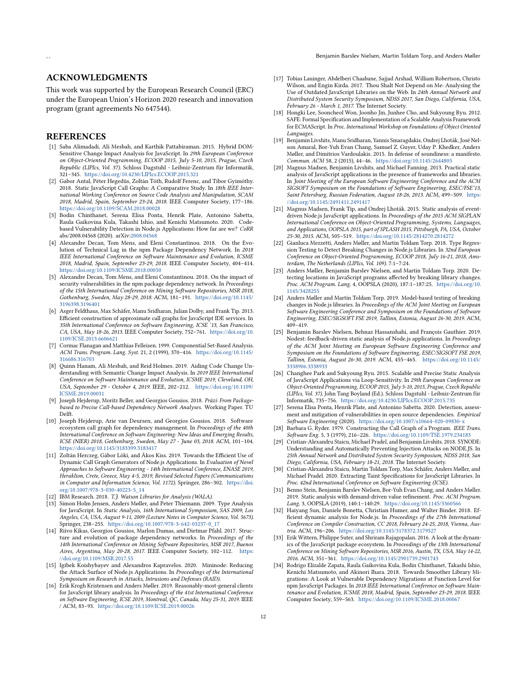### ACKNOWLEDGMENTS

This work was supported by the European Research Council (ERC) under the European Union's Horizon 2020 research and innovation program (grant agreements No 647544).

## **REFERENCES**

- <span id="page-12-9"></span>[1] Saba Alimadadi, Ali Mesbah, and Karthik Pattabiraman. 2015. Hybrid DOM-Sensitive Change Impact Analysis for JavaScript. In 29th European Conference on Object-Oriented Programming, ECOOP 2015, July 5-10, 2015, Prague, Czech Republic (LIPIcs, Vol. 37). Schloss Dagstuhl - Leibniz-Zentrum für Informatik, 321–345. <https://doi.org/10.4230/LIPIcs.ECOOP.2015.321>
- <span id="page-12-32"></span>[2] Gabor Antal, Péter Hegedüs, Zoltán Tóth, Rudolf Ferenc, and Tibor Gyimóthy. 2018. Static JavaScript Call Graphs: A Comparative Study. In 18th IEEE International Working Conference on Source Code Analysis and Manipulation, SCAM 2018, Madrid, Spain, September 23-24, 2018. IEEE Computer Society, 177–186. <https://doi.org/10.1109/SCAM.2018.00028>
- <span id="page-12-27"></span>[3] Bodin Chinthanet, Serena Elisa Ponta, Henrik Plate, Antonino Sabetta, Raula Gaikovina Kula, Takashi Ishio, and Kenichi Matsumoto. 2020. Codebased Vulnerability Detection in Node.js Applications: How far are we? CoRR abs/2008.04568 (2020). arXiv[:2008.04568](https://arxiv.org/abs/2008.04568)
- <span id="page-12-11"></span>[4] Alexandre Decan, Tom Mens, and Eleni Constantinou. 2018. On the Evolution of Technical Lag in the npm Package Dependency Network. In 2018 IEEE International Conference on Software Maintenance and Evolution, ICSME 2018, Madrid, Spain, September 23-29, 2018. IEEE Computer Society, 404–414. <https://doi.org/10.1109/ICSME.2018.00050>
- <span id="page-12-2"></span>[5] Alexandre Decan, Tom Mens, and Eleni Constantinou. 2018. On the impact of security vulnerabilities in the npm package dependency network. In Proceedings of the 15th International Conference on Mining Software Repositories, MSR 2018, Gothenburg, Sweden, May 28-29, 2018. ACM, 181–191. [https://doi.org/10.1145/](https://doi.org/10.1145/3196398.3196401) [3196398.3196401](https://doi.org/10.1145/3196398.3196401)
- <span id="page-12-8"></span>[6] Asger Feldthaus, Max Schäfer, Manu Sridharan, Julian Dolby, and Frank Tip. 2013. Efficient construction of approximate call graphs for JavaScript IDE services. In 35th International Conference on Software Engineering, ICSE '13, San Francisco, CA, USA, May 18-26, 2013. IEEE Computer Society, 752–761. [https://doi.org/10.](https://doi.org/10.1109/ICSE.2013.6606621) [1109/ICSE.2013.6606621](https://doi.org/10.1109/ICSE.2013.6606621)
- <span id="page-12-33"></span>[7] Cormac Flanagan and Matthias Felleisen. 1999. Componential Set-Based Analysis. ACM Trans. Program. Lang. Syst. 21, 2 (1999), 370–416. [https://doi.org/10.1145/](https://doi.org/10.1145/316686.316703) [316686.316703](https://doi.org/10.1145/316686.316703)
- <span id="page-12-10"></span>[8] Quinn Hanam, Ali Mesbah, and Reid Holmes. 2019. Aiding Code Change Understanding with Semantic Change Impact Analysis. In 2019 IEEE International Conference on Software Maintenance and Evolution, ICSME 2019, Cleveland, OH, USA, September 29 - October 4, 2019. IEEE, 202–212. [https://doi.org/10.1109/](https://doi.org/10.1109/ICSME.2019.00031) [ICSME.2019.00031](https://doi.org/10.1109/ICSME.2019.00031)
- <span id="page-12-25"></span>[9] Joseph Hejderup, Moritz Beller, and Georgios Gousios. 2018. Präzi: From Packagebased to Precise Call-based Dependency Network Analyses. Working Paper. TU Delft.
- <span id="page-12-24"></span>[10] Joseph Hejderup, Arie van Deursen, and Georgios Gousios. 2018. Software ecosystem call graph for dependency management. In Proceedings of the 40th International Conference on Software Engineering: New Ideas and Emerging Results, ICSE (NIER) 2018, Gothenburg, Sweden, May 27 - June 03, 2018. ACM, 101–104. <https://doi.org/10.1145/3183399.3183417>
- <span id="page-12-23"></span>[11] Zoltán Herczeg, Gábor Lóki, and Ákos Kiss. 2019. Towards the Efficient Use of Dynamic Call Graph Generators of Node.js Applications. In Evaluation of Novel Approaches to Software Engineering - 14th International Conference, ENASE 2019, Heraklion, Crete, Greece, May 4-5, 2019, Revised Selected Papers (Communications in Computer and Information Science, Vol. 1172). Springer, 286–302. [https://doi.](https://doi.org/10.1007/978-3-030-40223-5_14) [org/10.1007/978-3-030-40223-5\\_14](https://doi.org/10.1007/978-3-030-40223-5_14)
- <span id="page-12-28"></span>[12] IBM Research. 2018. T.J. Watson Libraries for Analysis (WALA).
- <span id="page-12-29"></span>[13] Simon Holm Jensen, Anders Møller, and Peter Thiemann. 2009. Type Analysis for JavaScript. In Static Analysis, 16th International Symposium, SAS 2009, Los Angeles, CA, USA, August 9-11, 2009 (Lecture Notes in Computer Science, Vol. 5673). Springer, 238–255. [https://doi.org/10.1007/978-3-642-03237-0\\_17](https://doi.org/10.1007/978-3-642-03237-0_17)
- <span id="page-12-0"></span>[14] Riivo Kikas, Georgios Gousios, Marlon Dumas, and Dietmar Pfahl. 2017. Structure and evolution of package dependency networks. In Proceedings of the 14th International Conference on Mining Software Repositories, MSR 2017, Buenos Aires, Argentina, May 20-28, 2017. IEEE Computer Society, 102–112. [https:](https://doi.org/10.1109/MSR.2017.55) [//doi.org/10.1109/MSR.2017.55](https://doi.org/10.1109/MSR.2017.55)
- <span id="page-12-1"></span>[15] Igibek Koishybayev and Alexandros Kapravelos. 2020. Mininode: Reducing the Attack Surface of Node.js Applications. In Proceedings of the International Symposium on Research in Attacks, Intrusions and Defenses (RAID).
- <span id="page-12-14"></span>[16] Erik Krogh Kristensen and Anders Møller. 2019. Reasonably-most-general clients for JavaScript library analysis. In Proceedings of the 41st International Conference on Software Engineering, ICSE 2019, Montreal, QC, Canada, May 25-31, 2019. IEEE / ACM, 83–93. <https://doi.org/10.1109/ICSE.2019.00026>
- <span id="page-12-6"></span>[17] Tobias Lauinger, Abdelberi Chaabane, Sajjad Arshad, William Robertson, Christo Wilson, and Engin Kirda. 2017. Thou Shalt Not Depend on Me: Analysing the Use of Outdated JavaScript Libraries on the Web. In 24th Annual Network and Distributed System Security Symposium, NDSS 2017, San Diego, California, USA, February 26 - March 1, 2017. The Internet Society.
- <span id="page-12-30"></span>[18] Hongki Lee, Sooncheol Won, Joonho Jin, Junhee Cho, and Sukyoung Ryu. 2012. SAFE: Formal Specification and Implementation of a Scalable Analysis Framework for ECMAScript. In Proc. International Workshop on Foundations of Object Oriented Languages.
- <span id="page-12-19"></span>[19] Benjamin Livshits, Manu Sridharan, Yannis Smaragdakis, Ondrej Lhoták, José Nelson Amaral, Bor-Yuh Evan Chang, Samuel Z. Guyer, Uday P. Khedker, Anders Møller, and Dimitrios Vardoulakis. 2015. In defense of soundiness: a manifesto. Commun. ACM 58, 2 (2015), 44–46. <https://doi.org/10.1145/2644805>
- <span id="page-12-13"></span>[20] Magnus Madsen, Benjamin Livshits, and Michael Fanning. 2013. Practical static analysis of JavaScript applications in the presence of frameworks and libraries. In Joint Meeting of the European Software Engineering Conference and the ACM SIGSOFT Symposium on the Foundations of Software Engineering, ESEC/FSE'13, Saint Petersburg, Russian Federation, August 18-26, 2013. ACM, 499–509. [https:](https://doi.org/10.1145/2491411.2491417) [//doi.org/10.1145/2491411.2491417](https://doi.org/10.1145/2491411.2491417)
- <span id="page-12-31"></span>[21] Magnus Madsen, Frank Tip, and Ondrej Lhoták. 2015. Static analysis of eventdriven Node.js JavaScript applications. In Proceedings of the 2015 ACM SIGPLAN International Conference on Object-Oriented Programming, Systems, Languages, and Applications, OOPSLA 2015, part of SPLASH 2015, Pittsburgh, PA, USA, October 25-30, 2015. ACM, 505–519. <https://doi.org/10.1145/2814270.2814272>
- <span id="page-12-17"></span>[22] Gianluca Mezzetti, Anders Møller, and Martin Toldam Torp. 2018. Type Regression Testing to Detect Breaking Changes in Node.js Libraries. In 32nd European Conference on Object-Oriented Programming, ECOOP 2018, July 16-21, 2018, Amsterdam, The Netherlands (LIPIcs, Vol. 109). 7:1–7:24.
- <span id="page-12-18"></span>[23] Anders Møller, Benjamin Barslev Nielsen, and Martin Toldam Torp. 2020. Detecting locations in JavaScript programs affected by breaking library changes. Proc. ACM Program. Lang. 4, OOPSLA (2020), 187:1–187:25. [https://doi.org/10.](https://doi.org/10.1145/3428255) [1145/3428255](https://doi.org/10.1145/3428255)
- <span id="page-12-12"></span>[24] Anders Møller and Martin Toldam Torp. 2019. Model-based testing of breaking changes in Node.js libraries. In Proceedings of the ACM Joint Meeting on European Software Engineering Conference and Symposium on the Foundations of Software Engineering, ESEC/SIGSOFT FSE 2019, Tallinn, Estonia, August 26-30, 2019. ACM,  $409 - 419$
- <span id="page-12-15"></span>[25] Benjamin Barslev Nielsen, Behnaz Hassanshahi, and François Gauthier. 2019. Nodest: feedback-driven static analysis of Node.js applications. In Proceedings of the ACM Joint Meeting on European Software Engineering Conference and Symposium on the Foundations of Software Engineering, ESEC/SIGSOFT FSE 2019, Tallinn, Estonia, August 26-30, 2019. ACM, 455–465. [https://doi.org/10.1145/](https://doi.org/10.1145/3338906.3338933) [3338906.3338933](https://doi.org/10.1145/3338906.3338933)
- <span id="page-12-21"></span>[26] Changhee Park and Sukyoung Ryu. 2015. Scalable and Precise Static Analysis of JavaScript Applications via Loop-Sensitivity. In 29th European Conference on Object-Oriented Programming, ECOOP 2015, July 5-10, 2015, Prague, Czech Republic (LIPIcs, Vol. 37), John Tang Boyland (Ed.). Schloss Dagstuhl - Leibniz-Zentrum für Informatik, 735–756. <https://doi.org/10.4230/LIPIcs.ECOOP.2015.735>
- <span id="page-12-26"></span>[27] Serena Elisa Ponta, Henrik Plate, and Antonino Sabetta. 2020. Detection, assessment and mitigation of vulnerabilities in open source dependencies. Empirical Software Engineering (2020). <https://doi.org/10.1007/s10664-020-09830-x>
- <span id="page-12-7"></span>[28] Barbara G. Ryder. 1979. Constructing the Call Graph of a Program. IEEE Trans. Software Eng. 5, 3 (1979), 216–226. <https://doi.org/10.1109/TSE.1979.234183>
- <span id="page-12-3"></span>[29] Cristian-Alexandru Staicu, Michael Pradel, and Benjamin Livshits. 2018. SYNODE: Understanding and Automatically Preventing Injection Attacks on NODE.JS. In 25th Annual Network and Distributed System Security Symposium, NDSS 2018, San Diego, California, USA, February 18-21, 2018. The Internet Society.
- <span id="page-12-4"></span>[30] Cristian-Alexandru Staicu, Martin Toldam Torp, Max Schäfer, Anders Møller, and Michael Pradel. 2020. Extracting Taint Specifications for JavaScript Libraries. In Proc. 42nd International Conference on Software Engineering (ICSE).
- <span id="page-12-16"></span>[31] Benno Stein, Benjamin Barslev Nielsen, Bor-Yuh Evan Chang, and Anders Møller. 2019. Static analysis with demand-driven value refinement. Proc. ACM Program. Lang. 3, OOPSLA (2019), 140:1–140:29. <https://doi.org/10.1145/3360566>
- <span id="page-12-20"></span>[32] Haiyang Sun, Daniele Bonetta, Christian Humer, and Walter Binder. 2018. Efficient dynamic analysis for Node.js. In Proceedings of the 27th International Conference on Compiler Construction, CC 2018, February 24-25, 2018, Vienna, Austria. ACM, 196–206. <https://doi.org/10.1145/3178372.3179527>
- <span id="page-12-22"></span>[33] Erik Wittern, Philippe Suter, and Shriram Rajagopalan. 2016. A look at the dynamics of the JavaScript package ecosystem. In Proceedings of the 13th International Conference on Mining Software Repositories, MSR 2016, Austin, TX, USA, May 14-22, 2016. ACM, 351–361. <https://doi.org/10.1145/2901739.2901743>
- <span id="page-12-5"></span>[34] Rodrigo Elizalde Zapata, Raula Gaikovina Kula, Bodin Chinthanet, Takashi Ishio, Kenichi Matsumoto, and Akinori Ihara. 2018. Towards Smoother Library Migrations: A Look at Vulnerable Dependency Migrations at Function Level for npm JavaScript Packages. In 2018 IEEE International Conference on Software Maintenance and Evolution, ICSME 2018, Madrid, Spain, September 23-29, 2018. IEEE Computer Society, 559–563. <https://doi.org/10.1109/ICSME.2018.00067>